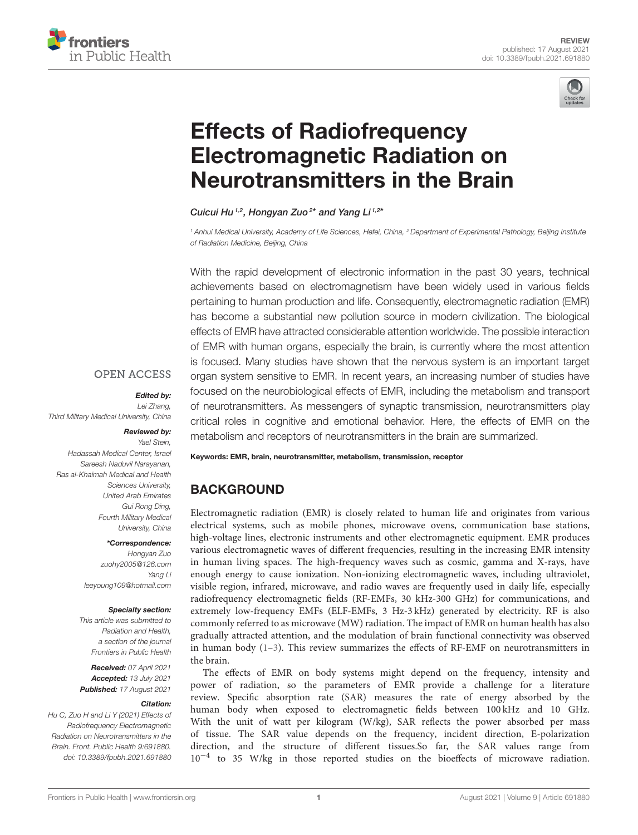



# Effects of Radiofrequency [Electromagnetic Radiation on](https://www.frontiersin.org/articles/10.3389/fpubh.2021.691880/full) Neurotransmitters in the Brain

Cuicui Hu<sup>1,2</sup>, Hongyan Zuo<sup>2\*</sup> and Yang Li<sup>1,2\*</sup>

*<sup>1</sup> Anhui Medical University, Academy of Life Sciences, Hefei, China, <sup>2</sup> Department of Experimental Pathology, Beijing Institute of Radiation Medicine, Beijing, China*

With the rapid development of electronic information in the past 30 years, technical achievements based on electromagnetism have been widely used in various fields pertaining to human production and life. Consequently, electromagnetic radiation (EMR) has become a substantial new pollution source in modern civilization. The biological effects of EMR have attracted considerable attention worldwide. The possible interaction of EMR with human organs, especially the brain, is currently where the most attention is focused. Many studies have shown that the nervous system is an important target organ system sensitive to EMR. In recent years, an increasing number of studies have focused on the neurobiological effects of EMR, including the metabolism and transport of neurotransmitters. As messengers of synaptic transmission, neurotransmitters play critical roles in cognitive and emotional behavior. Here, the effects of EMR on the metabolism and receptors of neurotransmitters in the brain are summarized.

#### **OPEN ACCESS**

#### Edited by:

*Lei Zhang, Third Military Medical University, China*

#### Reviewed by:

*Yael Stein, Hadassah Medical Center, Israel Sareesh Naduvil Narayanan, Ras al-Khaimah Medical and Health Sciences University, United Arab Emirates Gui Rong Ding, Fourth Military Medical University, China*

#### \*Correspondence:

*Hongyan Zuo [zuohy2005@126.com](mailto:zuohy2005@126.com) Yang Li [leeyoung109@hotmail.com](mailto:leeyoung109@hotmail.com)*

#### Specialty section:

*This article was submitted to Radiation and Health, a section of the journal Frontiers in Public Health*

Received: *07 April 2021* Accepted: *13 July 2021* Published: *17 August 2021*

#### Citation:

*Hu C, Zuo H and Li Y (2021) Effects of Radiofrequency Electromagnetic Radiation on Neurotransmitters in the Brain. Front. Public Health 9:691880. doi: [10.3389/fpubh.2021.691880](https://doi.org/10.3389/fpubh.2021.691880)* Keywords: EMR, brain, neurotransmitter, metabolism, transmission, receptor

## BACKGROUND

Electromagnetic radiation (EMR) is closely related to human life and originates from various electrical systems, such as mobile phones, microwave ovens, communication base stations, high-voltage lines, electronic instruments and other electromagnetic equipment. EMR produces various electromagnetic waves of different frequencies, resulting in the increasing EMR intensity in human living spaces. The high-frequency waves such as cosmic, gamma and X-rays, have enough energy to cause ionization. Non-ionizing electromagnetic waves, including ultraviolet, visible region, infrared, microwave, and radio waves are frequently used in daily life, especially radiofrequency electromagnetic fields (RF-EMFs, 30 kHz-300 GHz) for communications, and extremely low-frequency EMFs (ELF-EMFs, 3 Hz-3 kHz) generated by electricity. RF is also commonly referred to as microwave (MW) radiation. The impact of EMR on human health has also gradually attracted attention, and the modulation of brain functional connectivity was observed in human body  $(1-3)$ . This review summarizes the effects of RF-EMF on neurotransmitters in the brain.

The effects of EMR on body systems might depend on the frequency, intensity and power of radiation, so the parameters of EMR provide a challenge for a literature review. Specific absorption rate (SAR) measures the rate of energy absorbed by the human body when exposed to electromagnetic fields between 100 kHz and 10 GHz. With the unit of watt per kilogram (W/kg), SAR reflects the power absorbed per mass of tissue. The SAR value depends on the frequency, incident direction, E-polarization direction, and the structure of different tissues.So far, the SAR values range from 10−<sup>4</sup> to 35 W/kg in those reported studies on the bioeffects of microwave radiation.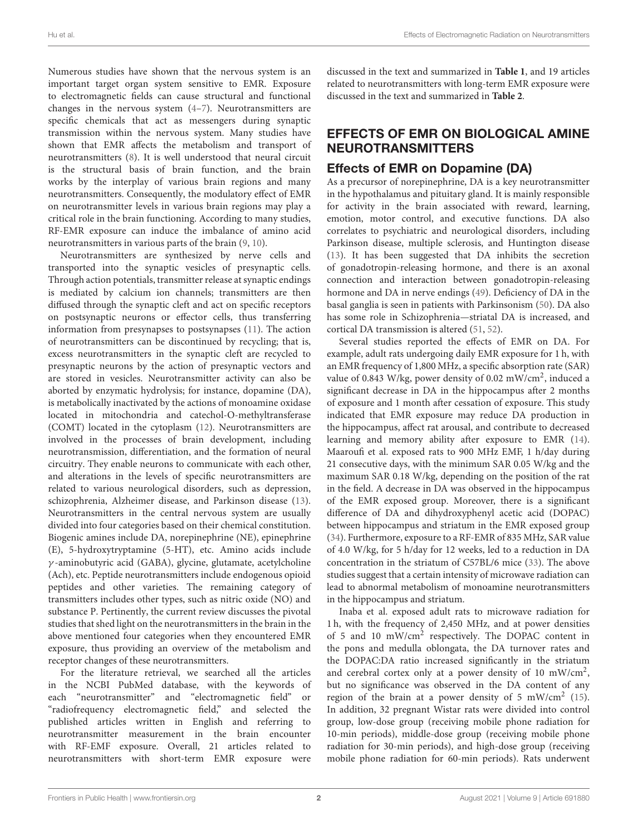Numerous studies have shown that the nervous system is an important target organ system sensitive to EMR. Exposure to electromagnetic fields can cause structural and functional changes in the nervous system [\(4](#page-11-2)[–7\)](#page-11-3). Neurotransmitters are specific chemicals that act as messengers during synaptic transmission within the nervous system. Many studies have shown that EMR affects the metabolism and transport of neurotransmitters [\(8\)](#page-11-4). It is well understood that neural circuit is the structural basis of brain function, and the brain works by the interplay of various brain regions and many neurotransmitters. Consequently, the modulatory effect of EMR on neurotransmitter levels in various brain regions may play a critical role in the brain functioning. According to many studies, RF-EMR exposure can induce the imbalance of amino acid neurotransmitters in various parts of the brain [\(9,](#page-11-5) [10\)](#page-11-6).

Neurotransmitters are synthesized by nerve cells and transported into the synaptic vesicles of presynaptic cells. Through action potentials, transmitter release at synaptic endings is mediated by calcium ion channels; transmitters are then diffused through the synaptic cleft and act on specific receptors on postsynaptic neurons or effector cells, thus transferring information from presynapses to postsynapses [\(11\)](#page-11-7). The action of neurotransmitters can be discontinued by recycling; that is, excess neurotransmitters in the synaptic cleft are recycled to presynaptic neurons by the action of presynaptic vectors and are stored in vesicles. Neurotransmitter activity can also be aborted by enzymatic hydrolysis; for instance, dopamine (DA), is metabolically inactivated by the actions of monoamine oxidase located in mitochondria and catechol-O-methyltransferase (COMT) located in the cytoplasm [\(12\)](#page-11-8). Neurotransmitters are involved in the processes of brain development, including neurotransmission, differentiation, and the formation of neural circuitry. They enable neurons to communicate with each other, and alterations in the levels of specific neurotransmitters are related to various neurological disorders, such as depression, schizophrenia, Alzheimer disease, and Parkinson disease [\(13\)](#page-11-9). Neurotransmitters in the central nervous system are usually divided into four categories based on their chemical constitution. Biogenic amines include DA, norepinephrine (NE), epinephrine (E), 5-hydroxytryptamine (5-HT), etc. Amino acids include γ -aminobutyric acid (GABA), glycine, glutamate, acetylcholine (Ach), etc. Peptide neurotransmitters include endogenous opioid peptides and other varieties. The remaining category of transmitters includes other types, such as nitric oxide (NO) and substance P. Pertinently, the current review discusses the pivotal studies that shed light on the neurotransmitters in the brain in the above mentioned four categories when they encountered EMR exposure, thus providing an overview of the metabolism and receptor changes of these neurotransmitters.

For the literature retrieval, we searched all the articles in the NCBI PubMed database, with the keywords of each "neurotransmitter" and "electromagnetic field" or "radiofrequency electromagnetic field," and selected the published articles written in English and referring to neurotransmitter measurement in the brain encounter with RF-EMF exposure. Overall, 21 articles related to neurotransmitters with short-term EMR exposure were discussed in the text and summarized in **[Table 1](#page-2-0)**, and 19 articles related to neurotransmitters with long-term EMR exposure were discussed in the text and summarized in **[Table 2](#page-3-0)**.

#### EFFECTS OF EMR ON BIOLOGICAL AMINE NEUROTRANSMITTERS

#### Effects of EMR on Dopamine (DA)

As a precursor of norepinephrine, DA is a key neurotransmitter in the hypothalamus and pituitary gland. It is mainly responsible for activity in the brain associated with reward, learning, emotion, motor control, and executive functions. DA also correlates to psychiatric and neurological disorders, including Parkinson disease, multiple sclerosis, and Huntington disease [\(13\)](#page-11-9). It has been suggested that DA inhibits the secretion of gonadotropin-releasing hormone, and there is an axonal connection and interaction between gonadotropin-releasing hormone and DA in nerve endings [\(49\)](#page-12-0). Deficiency of DA in the basal ganglia is seen in patients with Parkinsonism [\(50\)](#page-12-1). DA also has some role in Schizophrenia—striatal DA is increased, and cortical DA transmission is altered [\(51,](#page-12-2) [52\)](#page-12-3).

Several studies reported the effects of EMR on DA. For example, adult rats undergoing daily EMR exposure for 1 h, with an EMR frequency of 1,800 MHz, a specific absorption rate (SAR) value of 0.843 W/kg, power density of 0.02 mW/cm<sup>2</sup>, induced a significant decrease in DA in the hippocampus after 2 months of exposure and 1 month after cessation of exposure. This study indicated that EMR exposure may reduce DA production in the hippocampus, affect rat arousal, and contribute to decreased learning and memory ability after exposure to EMR [\(14\)](#page-11-10). Maaroufi et al. exposed rats to 900 MHz EMF, 1 h/day during 21 consecutive days, with the minimum SAR 0.05 W/kg and the maximum SAR 0.18 W/kg, depending on the position of the rat in the field. A decrease in DA was observed in the hippocampus of the EMR exposed group. Moreover, there is a significant difference of DA and dihydroxyphenyl acetic acid (DOPAC) between hippocampus and striatum in the EMR exposed group [\(34\)](#page-12-4). Furthermore, exposure to a RF-EMR of 835 MHz, SAR value of 4.0 W/kg, for 5 h/day for 12 weeks, led to a reduction in DA concentration in the striatum of C57BL/6 mice [\(33\)](#page-12-5). The above studies suggest that a certain intensity of microwave radiation can lead to abnormal metabolism of monoamine neurotransmitters in the hippocampus and striatum.

Inaba et al. exposed adult rats to microwave radiation for 1 h, with the frequency of 2,450 MHz, and at power densities of 5 and 10 mW/cm<sup>2</sup> respectively. The DOPAC content in the pons and medulla oblongata, the DA turnover rates and the DOPAC:DA ratio increased significantly in the striatum and cerebral cortex only at a power density of 10 mW/cm<sup>2</sup>, but no significance was observed in the DA content of any region of the brain at a power density of 5 mW/cm<sup>2</sup> [\(15\)](#page-11-11). In addition, 32 pregnant Wistar rats were divided into control group, low-dose group (receiving mobile phone radiation for 10-min periods), middle-dose group (receiving mobile phone radiation for 30-min periods), and high-dose group (receiving mobile phone radiation for 60-min periods). Rats underwent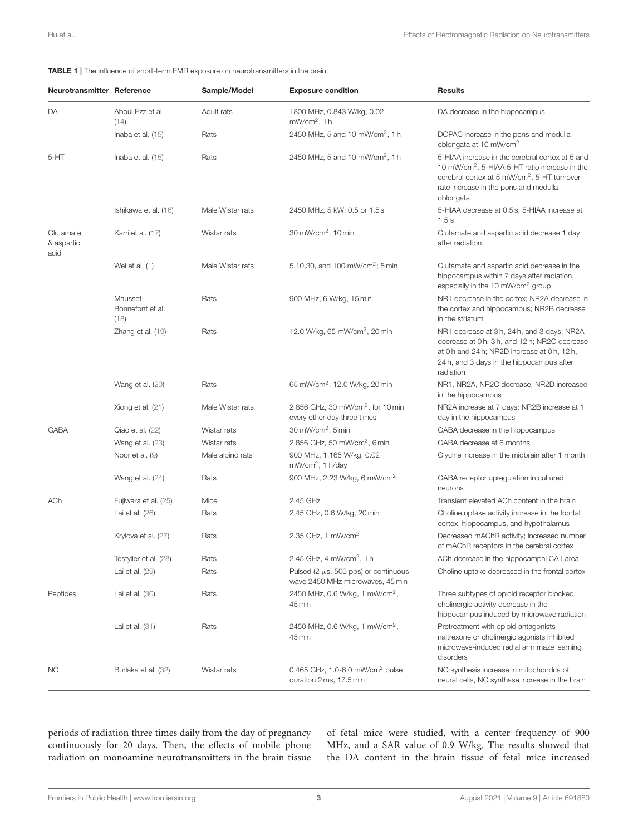<span id="page-2-0"></span>

|  |  |  |  |  |  | <b>TABLE 1</b>   The influence of short-term EMR exposure on neurotransmitters in the brain. |  |  |  |
|--|--|--|--|--|--|----------------------------------------------------------------------------------------------|--|--|--|
|--|--|--|--|--|--|----------------------------------------------------------------------------------------------|--|--|--|

| <b>Neurotransmitter Reference</b> |                                      | Sample/Model     | <b>Exposure condition</b>                                                     | <b>Results</b>                                                                                                                                                                                                                |
|-----------------------------------|--------------------------------------|------------------|-------------------------------------------------------------------------------|-------------------------------------------------------------------------------------------------------------------------------------------------------------------------------------------------------------------------------|
| DA                                | Aboul Ezz et al.<br>(14)             | Adult rats       | 1800 MHz, 0.843 W/kg, 0.02<br>$mW/cm2$ , 1 h                                  | DA decrease in the hippocampus                                                                                                                                                                                                |
|                                   | Inaba et al. $(15)$                  | Rats             | 2450 MHz, 5 and 10 mW/cm <sup>2</sup> , 1 h                                   | DOPAC increase in the pons and medulla<br>oblongata at 10 mW/cm <sup>2</sup>                                                                                                                                                  |
| 5-HT                              | Inaba et al. $(15)$                  | Rats             | 2450 MHz, 5 and 10 mW/cm <sup>2</sup> , 1 h                                   | 5-HIAA increase in the cerebral cortex at 5 and<br>10 mW/cm <sup>2</sup> . 5-HIAA:5-HT ratio increase in the<br>cerebral cortex at 5 mW/cm <sup>2</sup> . 5-HT turnover<br>rate increase in the pons and medulla<br>oblongata |
|                                   | Ishikawa et al. (16)                 | Male Wistar rats | 2450 MHz, 5 kW; 0.5 or 1.5 s                                                  | 5-HIAA decrease at 0.5 s; 5-HIAA increase at<br>1.5s                                                                                                                                                                          |
| Glutamate<br>& aspartic<br>acid   | Karri et al. (17)                    | Wistar rats      | 30 mW/cm <sup>2</sup> , 10 min                                                | Glutamate and aspartic acid decrease 1 day<br>after radiation                                                                                                                                                                 |
|                                   | Wei et al. (1)                       | Male Wistar rats | 5,10,30, and 100 mW/cm <sup>2</sup> ; 5 min                                   | Glutamate and aspartic acid decrease in the<br>hippocampus within 7 days after radiation,<br>especially in the 10 mW/cm <sup>2</sup> group                                                                                    |
|                                   | Mausset-<br>Bonnefont et al.<br>(18) | Rats             | 900 MHz, 6 W/kg, 15 min                                                       | NR1 decrease in the cortex; NR2A decrease in<br>the cortex and hippocampus; NR2B decrease<br>in the striatum                                                                                                                  |
|                                   | Zhang et al. (19)                    | Rats             | 12.0 W/kg, 65 mW/cm <sup>2</sup> , 20 min                                     | NR1 decrease at 3h, 24h, and 3 days; NR2A<br>decrease at 0 h, 3 h, and 12 h; NR2C decrease<br>at 0 h and 24 h; NR2D increase at 0 h, 12 h,<br>24 h, and 3 days in the hippocampus after<br>radiation                          |
|                                   | Wang et al. (20)                     | Rats             | 65 mW/cm <sup>2</sup> , 12.0 W/kg, 20 min                                     | NR1, NR2A, NR2C decrease; NR2D increased<br>in the hippocampus                                                                                                                                                                |
|                                   | Xiong et al. (21)                    | Male Wistar rats | 2.856 GHz, 30 mW/cm <sup>2</sup> , for 10 min<br>every other day three times  | NR2A increase at 7 days; NR2B increase at 1<br>day in the hippocampus                                                                                                                                                         |
| <b>GABA</b>                       | Qiao et al. (22)                     | Wistar rats      | 30 mW/cm <sup>2</sup> , 5 min                                                 | GABA decrease in the hippocampus                                                                                                                                                                                              |
|                                   | Wang et al. (23)                     | Wistar rats      | 2.856 GHz, 50 mW/cm <sup>2</sup> , 6 min                                      | GABA decrease at 6 months                                                                                                                                                                                                     |
|                                   | Noor et al. (9)                      | Male albino rats | 900 MHz, 1.165 W/kg, 0.02<br>mW/cm <sup>2</sup> , 1 h/day                     | Glycine increase in the midbrain after 1 month                                                                                                                                                                                |
|                                   | Wang et al. (24)                     | Rats             | 900 MHz, 2.23 W/kg, 6 mW/cm <sup>2</sup>                                      | GABA receptor upregulation in cultured<br>neurons                                                                                                                                                                             |
| ACh                               | Fujiwara et al. (25)                 | Mice             | 2.45 GHz                                                                      | Transient elevated ACh content in the brain                                                                                                                                                                                   |
|                                   | Lai et al. (26)                      | Rats             | 2.45 GHz, 0.6 W/kg, 20 min                                                    | Choline uptake activity increase in the frontal<br>cortex, hippocampus, and hypothalamus                                                                                                                                      |
|                                   | Krylova et al. (27)                  | Rats             | 2.35 GHz, 1 mW/cm <sup>2</sup>                                                | Decreased mAChR activity; increased number<br>of mAChR receptors in the cerebral cortex                                                                                                                                       |
|                                   | Testylier et al. (28)                | Rats             | 2.45 GHz, 4 mW/cm <sup>2</sup> , 1 h                                          | ACh decrease in the hippocampal CA1 area                                                                                                                                                                                      |
|                                   | Lai et al. (29)                      | Rats             | Pulsed (2 $\mu$ s, 500 pps) or continuous<br>wave 2450 MHz microwaves, 45 min | Choline uptake decreased in the frontal cortex                                                                                                                                                                                |
| Peptides                          | Lai et al. (30)                      | Rats             | 2450 MHz, 0.6 W/kg, 1 mW/cm <sup>2</sup> ,<br>45 min                          | Three subtypes of opioid receptor blocked<br>cholinergic activity decrease in the<br>hippocampus induced by microwave radiation                                                                                               |
|                                   | Lai et al. $(31)$                    | Rats             | 2450 MHz, 0.6 W/kg, 1 mW/cm <sup>2</sup> ,<br>45 min                          | Pretreatment with opioid antagonists<br>naltrexone or cholinergic agonists inhibited<br>microwave-induced radial arm maze learning<br>disorders                                                                               |
| NO.                               | Burlaka et al. (32)                  | Wistar rats      | 0.465 GHz, 1.0-6.0 mW/cm <sup>2</sup> pulse<br>duration 2 ms, 17.5 min        | NO synthesis increase in mitochondria of<br>neural cells, NO synthase increase in the brain                                                                                                                                   |

periods of radiation three times daily from the day of pregnancy continuously for 20 days. Then, the effects of mobile phone radiation on monoamine neurotransmitters in the brain tissue of fetal mice were studied, with a center frequency of 900 MHz, and a SAR value of 0.9 W/kg. The results showed that the DA content in the brain tissue of fetal mice increased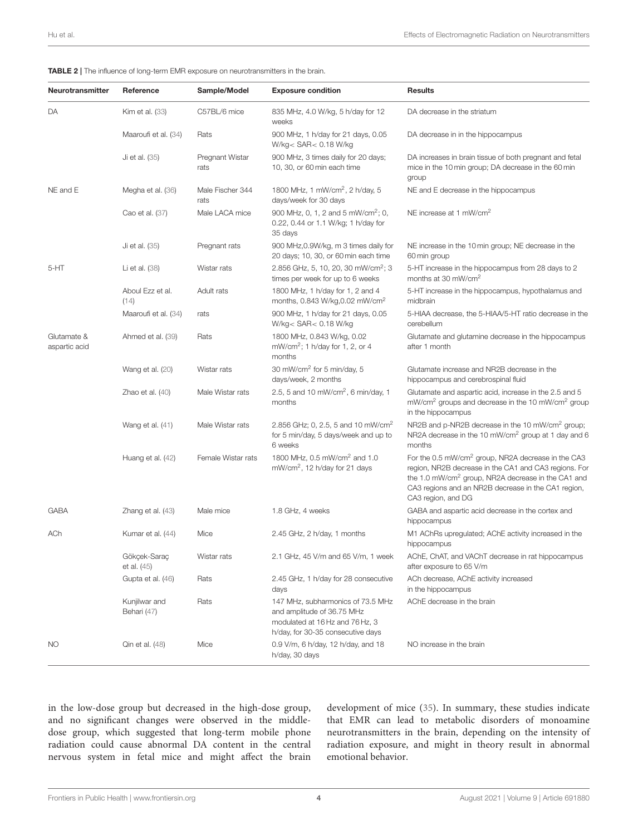<span id="page-3-0"></span>

|  | TABLE 2   The influence of long-term EMR exposure on neurotransmitters in the brain. |
|--|--------------------------------------------------------------------------------------|
|--|--------------------------------------------------------------------------------------|

| Neurotransmitter             | Reference                    | Sample/Model             | <b>Exposure condition</b>                                                                                                               | <b>Results</b>                                                                                                                                                                                                                                                         |
|------------------------------|------------------------------|--------------------------|-----------------------------------------------------------------------------------------------------------------------------------------|------------------------------------------------------------------------------------------------------------------------------------------------------------------------------------------------------------------------------------------------------------------------|
| DA                           | <b>Kim et al. (33)</b>       | C57BL/6 mice             | 835 MHz, 4.0 W/kg, 5 h/day for 12<br>weeks                                                                                              | DA decrease in the striatum                                                                                                                                                                                                                                            |
|                              | Maaroufi et al. (34)         | Rats                     | 900 MHz, 1 h/day for 21 days, 0.05<br>W/kg < SAR < 0.18 W/kg                                                                            | DA decrease in in the hippocampus                                                                                                                                                                                                                                      |
|                              | Ji et al. (35)               | Pregnant Wistar<br>rats  | 900 MHz, 3 times daily for 20 days;<br>10, 30, or 60 min each time                                                                      | DA increases in brain tissue of both pregnant and fetal<br>mice in the 10 min group; DA decrease in the 60 min<br>group                                                                                                                                                |
| NE and E                     | Megha et al. (36)            | Male Fischer 344<br>rats | 1800 MHz, 1 mW/cm <sup>2</sup> , 2 h/day, 5<br>days/week for 30 days                                                                    | NE and E decrease in the hippocampus                                                                                                                                                                                                                                   |
|                              | Cao et al. (37)              | Male LACA mice           | 900 MHz, 0, 1, 2 and 5 mW/cm <sup>2</sup> ; 0,<br>0.22, 0.44 or 1.1 W/kg; 1 h/day for<br>35 days                                        | NE increase at 1 mW/cm <sup>2</sup>                                                                                                                                                                                                                                    |
|                              | Ji et al. (35)               | Pregnant rats            | 900 MHz, 0.9W/kg, m 3 times daily for<br>20 days; 10, 30, or 60 min each time                                                           | NE increase in the 10 min group; NE decrease in the<br>60 min group                                                                                                                                                                                                    |
| 5-HT                         | Li et al. $(38)$             | Wistar rats              | 2.856 GHz, 5, 10, 20, 30 mW/cm <sup>2</sup> ; 3<br>times per week for up to 6 weeks                                                     | 5-HT increase in the hippocampus from 28 days to 2<br>months at 30 mW/cm <sup>2</sup>                                                                                                                                                                                  |
|                              | Aboul Ezz et al.<br>(14)     | Adult rats               | 1800 MHz, 1 h/day for 1, 2 and 4<br>months, 0.843 W/kg, 0.02 mW/cm <sup>2</sup>                                                         | 5-HT increase in the hippocampus, hypothalamus and<br>midbrain                                                                                                                                                                                                         |
|                              | Maaroufi et al. (34)         | rats                     | 900 MHz, 1 h/day for 21 days, 0.05<br>W/kg < $SAR$ < 0.18 W/kg                                                                          | 5-HIAA decrease, the 5-HIAA/5-HT ratio decrease in the<br>cerebellum                                                                                                                                                                                                   |
| Glutamate &<br>aspartic acid | Ahmed et al. (39)            | Rats                     | 1800 MHz, 0.843 W/kg, 0.02<br>mW/cm <sup>2</sup> ; 1 h/day for 1, 2, or 4<br>months                                                     | Glutamate and glutamine decrease in the hippocampus<br>after 1 month                                                                                                                                                                                                   |
|                              | Wang et al. (20)             | Wistar rats              | 30 mW/cm <sup>2</sup> for 5 min/day, 5<br>days/week, 2 months                                                                           | Glutamate increase and NR2B decrease in the<br>hippocampus and cerebrospinal fluid                                                                                                                                                                                     |
|                              | Zhao et al. $(40)$           | Male Wistar rats         | 2.5, 5 and 10 mW/cm <sup>2</sup> , 6 min/day, 1<br>months                                                                               | Glutamate and aspartic acid, increase in the 2.5 and 5<br>mW/cm <sup>2</sup> groups and decrease in the 10 mW/cm <sup>2</sup> group<br>in the hippocampus                                                                                                              |
|                              | Wang et al. (41)             | Male Wistar rats         | 2.856 GHz; 0, 2.5, 5 and 10 mW/cm <sup>2</sup><br>for 5 min/day, 5 days/week and up to<br>6 weeks                                       | NR2B and p-NR2B decrease in the 10 mW/cm <sup>2</sup> group;<br>NR2A decrease in the 10 mW/cm <sup>2</sup> group at 1 day and 6<br>months                                                                                                                              |
|                              | Huang et al. (42)            | Female Wistar rats       | 1800 MHz, 0.5 mW/cm <sup>2</sup> and 1.0<br>mW/cm <sup>2</sup> , 12 h/day for 21 days                                                   | For the 0.5 mW/cm <sup>2</sup> group, NR2A decrease in the CA3<br>region, NR2B decrease in the CA1 and CA3 regions. For<br>the 1.0 mW/cm <sup>2</sup> group, NR2A decrease in the CA1 and<br>CA3 regions and an NR2B decrease in the CA1 region,<br>CA3 region, and DG |
| <b>GABA</b>                  | Zhang et al. (43)            | Male mice                | 1.8 GHz, 4 weeks                                                                                                                        | GABA and aspartic acid decrease in the cortex and<br>hippocampus                                                                                                                                                                                                       |
| ACh                          | Kumar et al. (44)            | Mice                     | 2.45 GHz, 2 h/day, 1 months                                                                                                             | M1 AChRs upregulated; AChE activity increased in the<br>hippocampus                                                                                                                                                                                                    |
|                              | Gökçek-Saraç<br>et al. (45)  | Wistar rats              | 2.1 GHz, 45 V/m and 65 V/m, 1 week                                                                                                      | AChE, ChAT, and VAChT decrease in rat hippocampus<br>after exposure to 65 V/m                                                                                                                                                                                          |
|                              | Gupta et al. (46)            | Rats                     | 2.45 GHz, 1 h/day for 28 consecutive<br>days                                                                                            | ACh decrease, AChE activity increased<br>in the hippocampus                                                                                                                                                                                                            |
|                              | Kunjilwar and<br>Behari (47) | Rats                     | 147 MHz, subharmonics of 73.5 MHz<br>and amplitude of 36.75 MHz<br>modulated at 16 Hz and 76 Hz, 3<br>h/day, for 30-35 consecutive days | AChE decrease in the brain                                                                                                                                                                                                                                             |
| <b>NO</b>                    | Qin et al. (48)              | Mice                     | 0.9 V/m, 6 h/day, 12 h/day, and 18<br>h/day, 30 days                                                                                    | NO increase in the brain                                                                                                                                                                                                                                               |

in the low-dose group but decreased in the high-dose group, and no significant changes were observed in the middledose group, which suggested that long-term mobile phone radiation could cause abnormal DA content in the central nervous system in fetal mice and might affect the brain development of mice [\(35\)](#page-12-15). In summary, these studies indicate that EMR can lead to metabolic disorders of monoamine neurotransmitters in the brain, depending on the intensity of radiation exposure, and might in theory result in abnormal emotional behavior.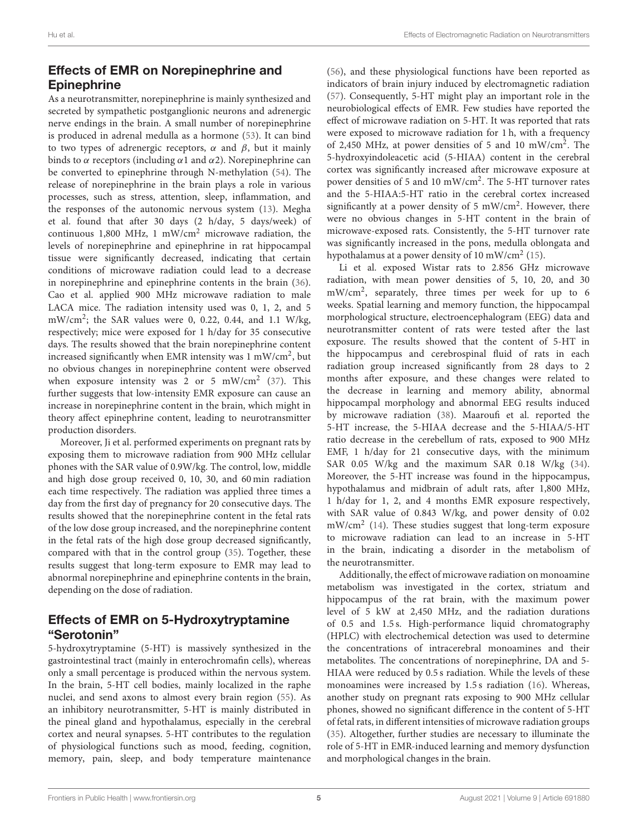# Effects of EMR on Norepinephrine and **Epinephrine**

As a neurotransmitter, norepinephrine is mainly synthesized and secreted by sympathetic postganglionic neurons and adrenergic nerve endings in the brain. A small number of norepinephrine is produced in adrenal medulla as a hormone [\(53\)](#page-12-29). It can bind to two types of adrenergic receptors,  $\alpha$  and  $\beta$ , but it mainly binds to  $\alpha$  receptors (including  $\alpha$ 1 and  $\alpha$ 2). Norepinephrine can be converted to epinephrine through N-methylation [\(54\)](#page-12-30). The release of norepinephrine in the brain plays a role in various processes, such as stress, attention, sleep, inflammation, and the responses of the autonomic nervous system [\(13\)](#page-11-9). Megha et al. found that after 30 days (2 h/day, 5 days/week) of continuous 1,800 MHz, 1 mW/cm<sup>2</sup> microwave radiation, the levels of norepinephrine and epinephrine in rat hippocampal tissue were significantly decreased, indicating that certain conditions of microwave radiation could lead to a decrease in norepinephrine and epinephrine contents in the brain [\(36\)](#page-12-16). Cao et al. applied 900 MHz microwave radiation to male LACA mice. The radiation intensity used was 0, 1, 2, and 5 mW/cm<sup>2</sup> ; the SAR values were 0, 0.22, 0.44, and 1.1 W/kg, respectively; mice were exposed for 1 h/day for 35 consecutive days. The results showed that the brain norepinephrine content increased significantly when EMR intensity was 1 mW/cm<sup>2</sup>, but no obvious changes in norepinephrine content were observed when exposure intensity was 2 or 5 mW/cm<sup>2</sup> [\(37\)](#page-12-17). This further suggests that low-intensity EMR exposure can cause an increase in norepinephrine content in the brain, which might in theory affect epinephrine content, leading to neurotransmitter production disorders.

Moreover, Ji et al. performed experiments on pregnant rats by exposing them to microwave radiation from 900 MHz cellular phones with the SAR value of 0.9W/kg. The control, low, middle and high dose group received 0, 10, 30, and 60 min radiation each time respectively. The radiation was applied three times a day from the first day of pregnancy for 20 consecutive days. The results showed that the norepinephrine content in the fetal rats of the low dose group increased, and the norepinephrine content in the fetal rats of the high dose group decreased significantly, compared with that in the control group [\(35\)](#page-12-15). Together, these results suggest that long-term exposure to EMR may lead to abnormal norepinephrine and epinephrine contents in the brain, depending on the dose of radiation.

## Effects of EMR on 5-Hydroxytryptamine "Serotonin"

5-hydroxytryptamine (5-HT) is massively synthesized in the gastrointestinal tract (mainly in enterochromafin cells), whereas only a small percentage is produced within the nervous system. In the brain, 5-HT cell bodies, mainly localized in the raphe nuclei, and send axons to almost every brain region [\(55\)](#page-12-31). As an inhibitory neurotransmitter, 5-HT is mainly distributed in the pineal gland and hypothalamus, especially in the cerebral cortex and neural synapses. 5-HT contributes to the regulation of physiological functions such as mood, feeding, cognition, memory, pain, sleep, and body temperature maintenance [\(56\)](#page-12-32), and these physiological functions have been reported as indicators of brain injury induced by electromagnetic radiation [\(57\)](#page-12-33). Consequently, 5-HT might play an important role in the neurobiological effects of EMR. Few studies have reported the effect of microwave radiation on 5-HT. It was reported that rats were exposed to microwave radiation for 1 h, with a frequency of 2,450 MHz, at power densities of 5 and 10 mW/cm<sup>2</sup> . The 5-hydroxyindoleacetic acid (5-HIAA) content in the cerebral cortex was significantly increased after microwave exposure at power densities of 5 and 10 mW/cm<sup>2</sup>. The 5-HT turnover rates and the 5-HIAA:5-HT ratio in the cerebral cortex increased significantly at a power density of 5 mW/cm<sup>2</sup>. However, there were no obvious changes in 5-HT content in the brain of microwave-exposed rats. Consistently, the 5-HT turnover rate was significantly increased in the pons, medulla oblongata and hypothalamus at a power density of 10 mW/cm<sup>2</sup> [\(15\)](#page-11-11).

Li et al. exposed Wistar rats to 2.856 GHz microwave radiation, with mean power densities of 5, 10, 20, and 30 mW/cm<sup>2</sup> , separately, three times per week for up to 6 weeks. Spatial learning and memory function, the hippocampal morphological structure, electroencephalogram (EEG) data and neurotransmitter content of rats were tested after the last exposure. The results showed that the content of 5-HT in the hippocampus and cerebrospinal fluid of rats in each radiation group increased significantly from 28 days to 2 months after exposure, and these changes were related to the decrease in learning and memory ability, abnormal hippocampal morphology and abnormal EEG results induced by microwave radiation [\(38\)](#page-12-18). Maaroufi et al. reported the 5-HT increase, the 5-HIAA decrease and the 5-HIAA/5-HT ratio decrease in the cerebellum of rats, exposed to 900 MHz EMF, 1 h/day for 21 consecutive days, with the minimum SAR 0.05 W/kg and the maximum SAR 0.18 W/kg [\(34\)](#page-12-4). Moreover, the 5-HT increase was found in the hippocampus, hypothalamus and midbrain of adult rats, after 1,800 MHz, 1 h/day for 1, 2, and 4 months EMR exposure respectively, with SAR value of 0.843 W/kg, and power density of 0.02 mW/cm<sup>2</sup> [\(14\)](#page-11-10). These studies suggest that long-term exposure to microwave radiation can lead to an increase in 5-HT in the brain, indicating a disorder in the metabolism of the neurotransmitter.

Additionally, the effect of microwave radiation on monoamine metabolism was investigated in the cortex, striatum and hippocampus of the rat brain, with the maximum power level of 5 kW at 2,450 MHz, and the radiation durations of 0.5 and 1.5 s. High-performance liquid chromatography (HPLC) with electrochemical detection was used to determine the concentrations of intracerebral monoamines and their metabolites. The concentrations of norepinephrine, DA and 5- HIAA were reduced by 0.5 s radiation. While the levels of these monoamines were increased by 1.5 s radiation [\(16\)](#page-11-12). Whereas, another study on pregnant rats exposing to 900 MHz cellular phones, showed no significant difference in the content of 5-HT of fetal rats, in different intensities of microwave radiation groups [\(35\)](#page-12-15). Altogether, further studies are necessary to illuminate the role of 5-HT in EMR-induced learning and memory dysfunction and morphological changes in the brain.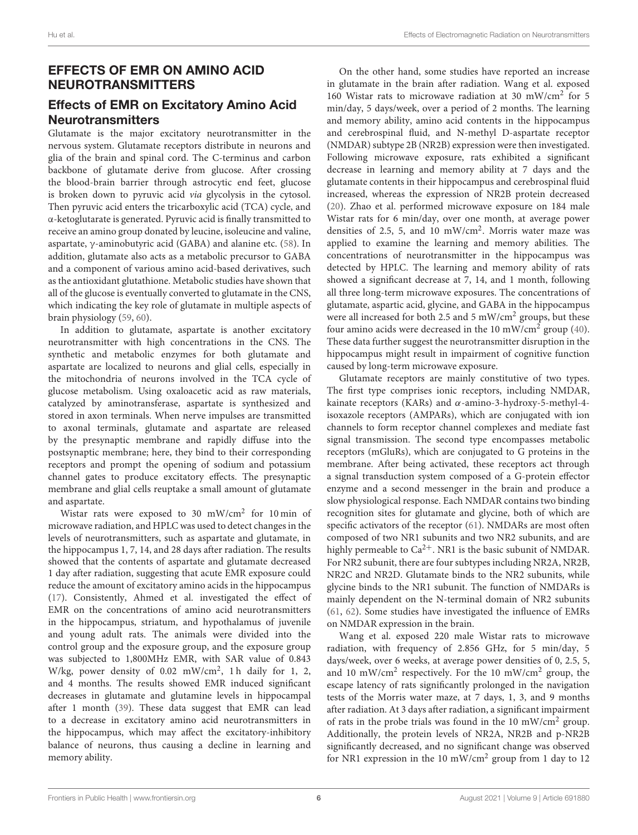# EFFECTS OF EMR ON AMINO ACID NEUROTRANSMITTERS

## Effects of EMR on Excitatory Amino Acid **Neurotransmitters**

Glutamate is the major excitatory neurotransmitter in the nervous system. Glutamate receptors distribute in neurons and glia of the brain and spinal cord. The C-terminus and carbon backbone of glutamate derive from glucose. After crossing the blood-brain barrier through astrocytic end feet, glucose is broken down to pyruvic acid via glycolysis in the cytosol. Then pyruvic acid enters the tricarboxylic acid (TCA) cycle, and α-ketoglutarate is generated. Pyruvic acid is finally transmitted to receive an amino group donated by leucine, isoleucine and valine, aspartate, γ-aminobutyric acid (GABA) and alanine etc. [\(58\)](#page-12-34). In addition, glutamate also acts as a metabolic precursor to GABA and a component of various amino acid-based derivatives, such as the antioxidant glutathione. Metabolic studies have shown that all of the glucose is eventually converted to glutamate in the CNS, which indicating the key role of glutamate in multiple aspects of brain physiology [\(59,](#page-12-35) [60\)](#page-12-36).

In addition to glutamate, aspartate is another excitatory neurotransmitter with high concentrations in the CNS. The synthetic and metabolic enzymes for both glutamate and aspartate are localized to neurons and glial cells, especially in the mitochondria of neurons involved in the TCA cycle of glucose metabolism. Using oxaloacetic acid as raw materials, catalyzed by aminotransferase, aspartate is synthesized and stored in axon terminals. When nerve impulses are transmitted to axonal terminals, glutamate and aspartate are released by the presynaptic membrane and rapidly diffuse into the postsynaptic membrane; here, they bind to their corresponding receptors and prompt the opening of sodium and potassium channel gates to produce excitatory effects. The presynaptic membrane and glial cells reuptake a small amount of glutamate and aspartate.

Wistar rats were exposed to 30 mW/cm<sup>2</sup> for 10 min of microwave radiation, and HPLC was used to detect changes in the levels of neurotransmitters, such as aspartate and glutamate, in the hippocampus 1, 7, 14, and 28 days after radiation. The results showed that the contents of aspartate and glutamate decreased 1 day after radiation, suggesting that acute EMR exposure could reduce the amount of excitatory amino acids in the hippocampus [\(17\)](#page-11-13). Consistently, Ahmed et al. investigated the effect of EMR on the concentrations of amino acid neurotransmitters in the hippocampus, striatum, and hypothalamus of juvenile and young adult rats. The animals were divided into the control group and the exposure group, and the exposure group was subjected to 1,800MHz EMR, with SAR value of 0.843 W/kg, power density of 0.02 mW/cm<sup>2</sup>, 1h daily for 1, 2, and 4 months. The results showed EMR induced significant decreases in glutamate and glutamine levels in hippocampal after 1 month [\(39\)](#page-12-19). These data suggest that EMR can lead to a decrease in excitatory amino acid neurotransmitters in the hippocampus, which may affect the excitatory-inhibitory balance of neurons, thus causing a decline in learning and memory ability.

On the other hand, some studies have reported an increase in glutamate in the brain after radiation. Wang et al. exposed 160 Wistar rats to microwave radiation at 30 mW/cm<sup>2</sup> for 5 min/day, 5 days/week, over a period of 2 months. The learning and memory ability, amino acid contents in the hippocampus and cerebrospinal fluid, and N-methyl D-aspartate receptor (NMDAR) subtype 2B (NR2B) expression were then investigated. Following microwave exposure, rats exhibited a significant decrease in learning and memory ability at 7 days and the glutamate contents in their hippocampus and cerebrospinal fluid increased, whereas the expression of NR2B protein decreased [\(20\)](#page-11-16). Zhao et al. performed microwave exposure on 184 male Wistar rats for 6 min/day, over one month, at average power densities of 2.5, 5, and 10 mW/cm<sup>2</sup>. Morris water maze was applied to examine the learning and memory abilities. The concentrations of neurotransmitter in the hippocampus was detected by HPLC. The learning and memory ability of rats showed a significant decrease at 7, 14, and 1 month, following all three long-term microwave exposures. The concentrations of glutamate, aspartic acid, glycine, and GABA in the hippocampus were all increased for both 2.5 and 5 mW/cm<sup>2</sup> groups, but these four amino acids were decreased in the 10 mW/cm<sup>2</sup> group [\(40\)](#page-12-20). These data further suggest the neurotransmitter disruption in the hippocampus might result in impairment of cognitive function caused by long-term microwave exposure.

Glutamate receptors are mainly constitutive of two types. The first type comprises ionic receptors, including NMDAR, kainate receptors (KARs) and  $\alpha$ -amino-3-hydroxy-5-methyl-4isoxazole receptors (AMPARs), which are conjugated with ion channels to form receptor channel complexes and mediate fast signal transmission. The second type encompasses metabolic receptors (mGluRs), which are conjugated to G proteins in the membrane. After being activated, these receptors act through a signal transduction system composed of a G-protein effector enzyme and a second messenger in the brain and produce a slow physiological response. Each NMDAR contains two binding recognition sites for glutamate and glycine, both of which are specific activators of the receptor [\(61\)](#page-12-37). NMDARs are most often composed of two NR1 subunits and two NR2 subunits, and are highly permeable to  $Ca^{2+}$ . NR1 is the basic subunit of NMDAR. For NR2 subunit, there are four subtypes including NR2A, NR2B, NR2C and NR2D. Glutamate binds to the NR2 subunits, while glycine binds to the NR1 subunit. The function of NMDARs is mainly dependent on the N-terminal domain of NR2 subunits [\(61,](#page-12-37) [62\)](#page-12-38). Some studies have investigated the influence of EMRs on NMDAR expression in the brain.

Wang et al. exposed 220 male Wistar rats to microwave radiation, with frequency of 2.856 GHz, for 5 min/day, 5 days/week, over 6 weeks, at average power densities of 0, 2.5, 5, and 10 mW/cm<sup>2</sup> respectively. For the 10 mW/cm<sup>2</sup> group, the escape latency of rats significantly prolonged in the navigation tests of the Morris water maze, at 7 days, 1, 3, and 9 months after radiation. At 3 days after radiation, a significant impairment of rats in the probe trials was found in the 10 mW/cm<sup>2</sup> group. Additionally, the protein levels of NR2A, NR2B and p-NR2B significantly decreased, and no significant change was observed for NR1 expression in the 10 mW/cm<sup>2</sup> group from 1 day to 12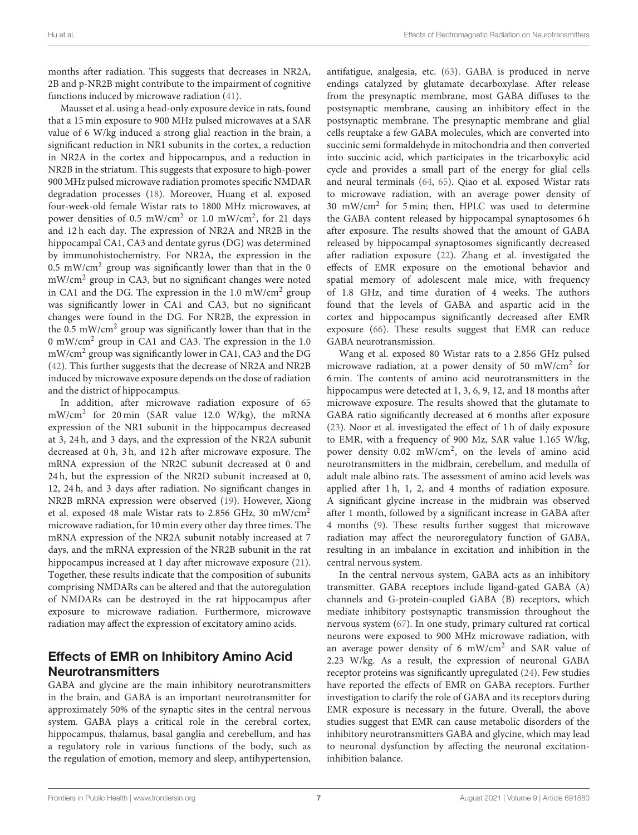months after radiation. This suggests that decreases in NR2A, 2B and p-NR2B might contribute to the impairment of cognitive functions induced by microwave radiation [\(41\)](#page-12-21).

Mausset et al. using a head-only exposure device in rats, found that a 15 min exposure to 900 MHz pulsed microwaves at a SAR value of 6 W/kg induced a strong glial reaction in the brain, a significant reduction in NR1 subunits in the cortex, a reduction in NR2A in the cortex and hippocampus, and a reduction in NR2B in the striatum. This suggests that exposure to high-power 900 MHz pulsed microwave radiation promotes specific NMDAR degradation processes [\(18\)](#page-11-14). Moreover, Huang et al. exposed four-week-old female Wistar rats to 1800 MHz microwaves, at power densities of 0.5 mW/cm<sup>2</sup> or 1.0 mW/cm<sup>2</sup>, for 21 days and 12 h each day. The expression of NR2A and NR2B in the hippocampal CA1, CA3 and dentate gyrus (DG) was determined by immunohistochemistry. For NR2A, the expression in the  $0.5$  mW/cm<sup>2</sup> group was significantly lower than that in the 0 mW/cm<sup>2</sup> group in CA3, but no significant changes were noted in CA1 and the DG. The expression in the 1.0 mW/cm<sup>2</sup> group was significantly lower in CA1 and CA3, but no significant changes were found in the DG. For NR2B, the expression in the 0.5 mW/cm<sup>2</sup> group was significantly lower than that in the 0 mW/cm<sup>2</sup> group in CA1 and CA3. The expression in the 1.0 mW/cm<sup>2</sup> group was significantly lower in CA1, CA3 and the DG [\(42\)](#page-12-22). This further suggests that the decrease of NR2A and NR2B induced by microwave exposure depends on the dose of radiation and the district of hippocampus.

In addition, after microwave radiation exposure of 65 mW/cm<sup>2</sup> for 20 min (SAR value 12.0 W/kg), the mRNA expression of the NR1 subunit in the hippocampus decreased at 3, 24 h, and 3 days, and the expression of the NR2A subunit decreased at 0 h, 3 h, and 12 h after microwave exposure. The mRNA expression of the NR2C subunit decreased at 0 and 24 h, but the expression of the NR2D subunit increased at 0, 12, 24 h, and 3 days after radiation. No significant changes in NR2B mRNA expression were observed [\(19\)](#page-11-15). However, Xiong et al. exposed 48 male Wistar rats to 2.856 GHz, 30 mW/cm<sup>2</sup> microwave radiation, for 10 min every other day three times. The mRNA expression of the NR2A subunit notably increased at 7 days, and the mRNA expression of the NR2B subunit in the rat hippocampus increased at 1 day after microwave exposure [\(21\)](#page-11-17). Together, these results indicate that the composition of subunits comprising NMDARs can be altered and that the autoregulation of NMDARs can be destroyed in the rat hippocampus after exposure to microwave radiation. Furthermore, microwave radiation may affect the expression of excitatory amino acids.

## Effects of EMR on Inhibitory Amino Acid Neurotransmitters

GABA and glycine are the main inhibitory neurotransmitters in the brain, and GABA is an important neurotransmitter for approximately 50% of the synaptic sites in the central nervous system. GABA plays a critical role in the cerebral cortex, hippocampus, thalamus, basal ganglia and cerebellum, and has a regulatory role in various functions of the body, such as the regulation of emotion, memory and sleep, antihypertension, antifatigue, analgesia, etc. [\(63\)](#page-12-39). GABA is produced in nerve endings catalyzed by glutamate decarboxylase. After release from the presynaptic membrane, most GABA diffuses to the postsynaptic membrane, causing an inhibitory effect in the postsynaptic membrane. The presynaptic membrane and glial cells reuptake a few GABA molecules, which are converted into succinic semi formaldehyde in mitochondria and then converted into succinic acid, which participates in the tricarboxylic acid cycle and provides a small part of the energy for glial cells and neural terminals [\(64,](#page-13-0) [65\)](#page-13-1). Qiao et al. exposed Wistar rats to microwave radiation, with an average power density of 30 mW/cm<sup>2</sup> for 5 min; then, HPLC was used to determine the GABA content released by hippocampal synaptosomes 6 h after exposure. The results showed that the amount of GABA released by hippocampal synaptosomes significantly decreased after radiation exposure [\(22\)](#page-11-18). Zhang et al. investigated the effects of EMR exposure on the emotional behavior and spatial memory of adolescent male mice, with frequency of 1.8 GHz, and time duration of 4 weeks. The authors found that the levels of GABA and aspartic acid in the cortex and hippocampus significantly decreased after EMR exposure [\(66\)](#page-13-2). These results suggest that EMR can reduce GABA neurotransmission.

Wang et al. exposed 80 Wistar rats to a 2.856 GHz pulsed microwave radiation, at a power density of 50 mW/cm<sup>2</sup> for 6 min. The contents of amino acid neurotransmitters in the hippocampus were detected at 1, 3, 6, 9, 12, and 18 months after microwave exposure. The results showed that the glutamate to GABA ratio significantly decreased at 6 months after exposure [\(23\)](#page-11-19). Noor et al. investigated the effect of 1 h of daily exposure to EMR, with a frequency of 900 Mz, SAR value 1.165 W/kg, power density 0.02 mW/cm<sup>2</sup>, on the levels of amino acid neurotransmitters in the midbrain, cerebellum, and medulla of adult male albino rats. The assessment of amino acid levels was applied after 1 h, 1, 2, and 4 months of radiation exposure. A significant glycine increase in the midbrain was observed after 1 month, followed by a significant increase in GABA after 4 months [\(9\)](#page-11-5). These results further suggest that microwave radiation may affect the neuroregulatory function of GABA, resulting in an imbalance in excitation and inhibition in the central nervous system.

In the central nervous system, GABA acts as an inhibitory transmitter. GABA receptors include ligand-gated GABA (A) channels and G-protein-coupled GABA (B) receptors, which mediate inhibitory postsynaptic transmission throughout the nervous system [\(67\)](#page-13-3). In one study, primary cultured rat cortical neurons were exposed to 900 MHz microwave radiation, with an average power density of 6 mW/cm<sup>2</sup> and SAR value of 2.23 W/kg. As a result, the expression of neuronal GABA receptor proteins was significantly upregulated [\(24\)](#page-12-6). Few studies have reported the effects of EMR on GABA receptors. Further investigation to clarify the role of GABA and its receptors during EMR exposure is necessary in the future. Overall, the above studies suggest that EMR can cause metabolic disorders of the inhibitory neurotransmitters GABA and glycine, which may lead to neuronal dysfunction by affecting the neuronal excitationinhibition balance.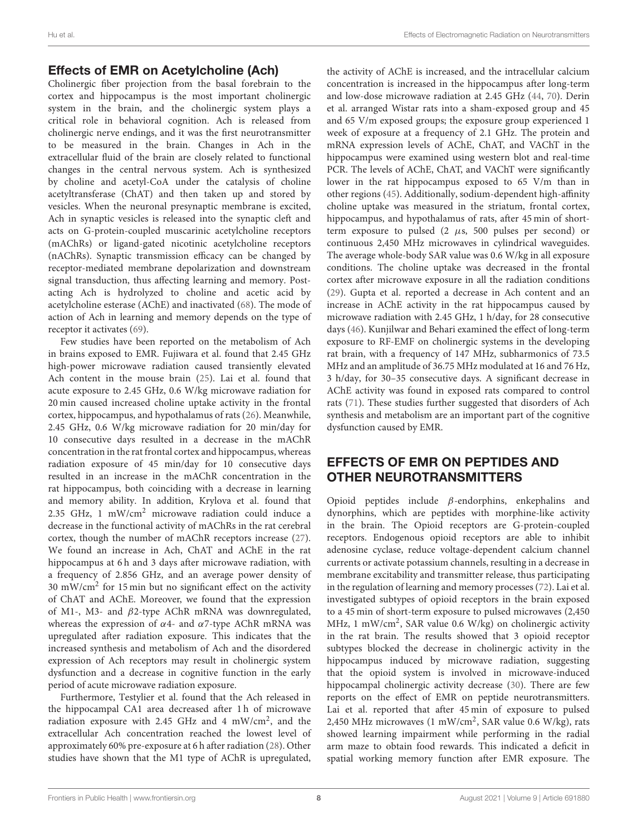#### Effects of EMR on Acetylcholine (Ach)

Cholinergic fiber projection from the basal forebrain to the cortex and hippocampus is the most important cholinergic system in the brain, and the cholinergic system plays a critical role in behavioral cognition. Ach is released from cholinergic nerve endings, and it was the first neurotransmitter to be measured in the brain. Changes in Ach in the extracellular fluid of the brain are closely related to functional changes in the central nervous system. Ach is synthesized by choline and acetyl-CoA under the catalysis of choline acetyltransferase (ChAT) and then taken up and stored by vesicles. When the neuronal presynaptic membrane is excited, Ach in synaptic vesicles is released into the synaptic cleft and acts on G-protein-coupled muscarinic acetylcholine receptors (mAChRs) or ligand-gated nicotinic acetylcholine receptors (nAChRs). Synaptic transmission efficacy can be changed by receptor-mediated membrane depolarization and downstream signal transduction, thus affecting learning and memory. Postacting Ach is hydrolyzed to choline and acetic acid by acetylcholine esterase (AChE) and inactivated [\(68\)](#page-13-4). The mode of action of Ach in learning and memory depends on the type of receptor it activates [\(69\)](#page-13-5).

Few studies have been reported on the metabolism of Ach in brains exposed to EMR. Fujiwara et al. found that 2.45 GHz high-power microwave radiation caused transiently elevated Ach content in the mouse brain [\(25\)](#page-12-7). Lai et al. found that acute exposure to 2.45 GHz, 0.6 W/kg microwave radiation for 20 min caused increased choline uptake activity in the frontal cortex, hippocampus, and hypothalamus of rats [\(26\)](#page-12-8). Meanwhile, 2.45 GHz, 0.6 W/kg microwave radiation for 20 min/day for 10 consecutive days resulted in a decrease in the mAChR concentration in the rat frontal cortex and hippocampus, whereas radiation exposure of 45 min/day for 10 consecutive days resulted in an increase in the mAChR concentration in the rat hippocampus, both coinciding with a decrease in learning and memory ability. In addition, Krylova et al. found that 2.35 GHz, 1 mW/cm<sup>2</sup> microwave radiation could induce a decrease in the functional activity of mAChRs in the rat cerebral cortex, though the number of mAChR receptors increase [\(27\)](#page-12-9). We found an increase in Ach, ChAT and AChE in the rat hippocampus at 6h and 3 days after microwave radiation, with a frequency of 2.856 GHz, and an average power density of 30 mW/cm<sup>2</sup> for 15 min but no significant effect on the activity of ChAT and AChE. Moreover, we found that the expression of M1-, M3- and β2-type AChR mRNA was downregulated, whereas the expression of  $\alpha$ 4- and  $\alpha$ 7-type AChR mRNA was upregulated after radiation exposure. This indicates that the increased synthesis and metabolism of Ach and the disordered expression of Ach receptors may result in cholinergic system dysfunction and a decrease in cognitive function in the early period of acute microwave radiation exposure.

Furthermore, Testylier et al. found that the Ach released in the hippocampal CA1 area decreased after 1 h of microwave radiation exposure with 2.45 GHz and 4 mW/cm<sup>2</sup>, and the extracellular Ach concentration reached the lowest level of approximately 60% pre-exposure at 6 h after radiation [\(28\)](#page-12-10). Other studies have shown that the M1 type of AChR is upregulated, the activity of AChE is increased, and the intracellular calcium concentration is increased in the hippocampus after long-term and low-dose microwave radiation at 2.45 GHz [\(44,](#page-12-24) [70\)](#page-13-6). Derin et al. arranged Wistar rats into a sham-exposed group and 45 and 65 V/m exposed groups; the exposure group experienced 1 week of exposure at a frequency of 2.1 GHz. The protein and mRNA expression levels of AChE, ChAT, and VAChT in the hippocampus were examined using western blot and real-time PCR. The levels of AChE, ChAT, and VAChT were significantly lower in the rat hippocampus exposed to 65 V/m than in other regions [\(45\)](#page-12-25). Additionally, sodium-dependent high-affinity choline uptake was measured in the striatum, frontal cortex, hippocampus, and hypothalamus of rats, after 45 min of shortterm exposure to pulsed  $(2 \mu s, 500 \text{ pulses per second})$  or continuous 2,450 MHz microwaves in cylindrical waveguides. The average whole-body SAR value was 0.6 W/kg in all exposure conditions. The choline uptake was decreased in the frontal cortex after microwave exposure in all the radiation conditions [\(29\)](#page-12-11). Gupta et al. reported a decrease in Ach content and an increase in AChE activity in the rat hippocampus caused by microwave radiation with 2.45 GHz, 1 h/day, for 28 consecutive days [\(46\)](#page-12-26). Kunjilwar and Behari examined the effect of long-term exposure to RF-EMF on cholinergic systems in the developing rat brain, with a frequency of 147 MHz, subharmonics of 73.5 MHz and an amplitude of 36.75 MHz modulated at 16 and 76 Hz, 3 h/day, for 30–35 consecutive days. A significant decrease in AChE activity was found in exposed rats compared to control rats [\(71\)](#page-13-7). These studies further suggested that disorders of Ach synthesis and metabolism are an important part of the cognitive dysfunction caused by EMR.

## EFFECTS OF EMR ON PEPTIDES AND OTHER NEUROTRANSMITTERS

Opioid peptides include β-endorphins, enkephalins and dynorphins, which are peptides with morphine-like activity in the brain. The Opioid receptors are G-protein-coupled receptors. Endogenous opioid receptors are able to inhibit adenosine cyclase, reduce voltage-dependent calcium channel currents or activate potassium channels, resulting in a decrease in membrane excitability and transmitter release, thus participating in the regulation of learning and memory processes [\(72\)](#page-13-8). Lai et al. investigated subtypes of opioid receptors in the brain exposed to a 45 min of short-term exposure to pulsed microwaves (2,450 MHz, 1 mW/cm<sup>2</sup>, SAR value 0.6 W/kg) on cholinergic activity in the rat brain. The results showed that 3 opioid receptor subtypes blocked the decrease in cholinergic activity in the hippocampus induced by microwave radiation, suggesting that the opioid system is involved in microwave-induced hippocampal cholinergic activity decrease [\(30\)](#page-12-12). There are few reports on the effect of EMR on peptide neurotransmitters. Lai et al. reported that after 45 min of exposure to pulsed 2,450 MHz microwaves (1 mW/cm<sup>2</sup>, SAR value 0.6 W/kg), rats showed learning impairment while performing in the radial arm maze to obtain food rewards. This indicated a deficit in spatial working memory function after EMR exposure. The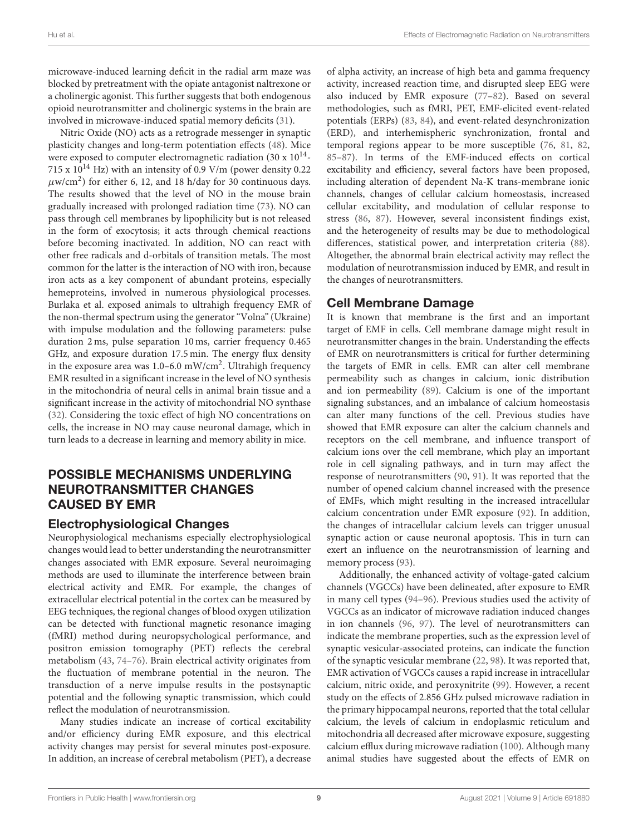microwave-induced learning deficit in the radial arm maze was blocked by pretreatment with the opiate antagonist naltrexone or a cholinergic agonist. This further suggests that both endogenous opioid neurotransmitter and cholinergic systems in the brain are involved in microwave-induced spatial memory deficits [\(31\)](#page-12-13).

Nitric Oxide (NO) acts as a retrograde messenger in synaptic plasticity changes and long-term potentiation effects [\(48\)](#page-12-28). Mice were exposed to computer electromagnetic radiation (30 x  $10^{14}$ -715 x  $10^{14}$  Hz) with an intensity of 0.9 V/m (power density 0.22  $\mu$ w/cm<sup>2</sup>) for either 6, 12, and 18 h/day for 30 continuous days. The results showed that the level of NO in the mouse brain gradually increased with prolonged radiation time [\(73\)](#page-13-9). NO can pass through cell membranes by lipophilicity but is not released in the form of exocytosis; it acts through chemical reactions before becoming inactivated. In addition, NO can react with other free radicals and d-orbitals of transition metals. The most common for the latter is the interaction of NO with iron, because iron acts as a key component of abundant proteins, especially hemeproteins, involved in numerous physiological processes. Burlaka et al. exposed animals to ultrahigh frequency EMR of the non-thermal spectrum using the generator "Volna" (Ukraine) with impulse modulation and the following parameters: pulse duration 2 ms, pulse separation 10 ms, carrier frequency 0.465 GHz, and exposure duration 17.5 min. The energy flux density in the exposure area was 1.0–6.0 mW/cm<sup>2</sup>. Ultrahigh frequency EMR resulted in a significant increase in the level of NO synthesis in the mitochondria of neural cells in animal brain tissue and a significant increase in the activity of mitochondrial NO synthase [\(32\)](#page-12-14). Considering the toxic effect of high NO concentrations on cells, the increase in NO may cause neuronal damage, which in turn leads to a decrease in learning and memory ability in mice.

### POSSIBLE MECHANISMS UNDERLYING NEUROTRANSMITTER CHANGES CAUSED BY EMR

#### Electrophysiological Changes

Neurophysiological mechanisms especially electrophysiological changes would lead to better understanding the neurotransmitter changes associated with EMR exposure. Several neuroimaging methods are used to illuminate the interference between brain electrical activity and EMR. For example, the changes of extracellular electrical potential in the cortex can be measured by EEG techniques, the regional changes of blood oxygen utilization can be detected with functional magnetic resonance imaging (fMRI) method during neuropsychological performance, and positron emission tomography (PET) reflects the cerebral metabolism [\(43,](#page-12-23) [74](#page-13-10)[–76\)](#page-13-11). Brain electrical activity originates from the fluctuation of membrane potential in the neuron. The transduction of a nerve impulse results in the postsynaptic potential and the following synaptic transmission, which could reflect the modulation of neurotransmission.

Many studies indicate an increase of cortical excitability and/or efficiency during EMR exposure, and this electrical activity changes may persist for several minutes post-exposure. In addition, an increase of cerebral metabolism (PET), a decrease of alpha activity, an increase of high beta and gamma frequency activity, increased reaction time, and disrupted sleep EEG were also induced by EMR exposure [\(77](#page-13-12)[–82\)](#page-13-13). Based on several methodologies, such as fMRI, PET, EMF-elicited event-related potentials (ERPs) [\(83,](#page-13-14) [84\)](#page-13-15), and event-related desynchronization (ERD), and interhemispheric synchronization, frontal and temporal regions appear to be more susceptible [\(76,](#page-13-11) [81,](#page-13-16) [82,](#page-13-13) [85](#page-13-17)[–87\)](#page-13-18). In terms of the EMF-induced effects on cortical excitability and efficiency, several factors have been proposed, including alteration of dependent Na-K trans-membrane ionic channels, changes of cellular calcium homeostasis, increased cellular excitability, and modulation of cellular response to stress [\(86,](#page-13-19) [87\)](#page-13-18). However, several inconsistent findings exist, and the heterogeneity of results may be due to methodological differences, statistical power, and interpretation criteria [\(88\)](#page-13-20). Altogether, the abnormal brain electrical activity may reflect the modulation of neurotransmission induced by EMR, and result in the changes of neurotransmitters.

## Cell Membrane Damage

It is known that membrane is the first and an important target of EMF in cells. Cell membrane damage might result in neurotransmitter changes in the brain. Understanding the effects of EMR on neurotransmitters is critical for further determining the targets of EMR in cells. EMR can alter cell membrane permeability such as changes in calcium, ionic distribution and ion permeability [\(89\)](#page-13-21). Calcium is one of the important signaling substances, and an imbalance of calcium homeostasis can alter many functions of the cell. Previous studies have showed that EMR exposure can alter the calcium channels and receptors on the cell membrane, and influence transport of calcium ions over the cell membrane, which play an important role in cell signaling pathways, and in turn may affect the response of neurotransmitters [\(90,](#page-13-22) [91\)](#page-13-23). It was reported that the number of opened calcium channel increased with the presence of EMFs, which might resulting in the increased intracellular calcium concentration under EMR exposure [\(92\)](#page-13-24). In addition, the changes of intracellular calcium levels can trigger unusual synaptic action or cause neuronal apoptosis. This in turn can exert an influence on the neurotransmission of learning and memory process [\(93\)](#page-13-25).

Additionally, the enhanced activity of voltage-gated calcium channels (VGCCs) have been delineated, after exposure to EMR in many cell types [\(94](#page-13-26)[–96\)](#page-13-27). Previous studies used the activity of VGCCs as an indicator of microwave radiation induced changes in ion channels [\(96,](#page-13-27) [97\)](#page-13-28). The level of neurotransmitters can indicate the membrane properties, such as the expression level of synaptic vesicular-associated proteins, can indicate the function of the synaptic vesicular membrane [\(22,](#page-11-18) [98\)](#page-13-29). It was reported that, EMR activation of VGCCs causes a rapid increase in intracellular calcium, nitric oxide, and peroxynitrite [\(99\)](#page-13-30). However, a recent study on the effects of 2.856 GHz pulsed microwave radiation in the primary hippocampal neurons, reported that the total cellular calcium, the levels of calcium in endoplasmic reticulum and mitochondria all decreased after microwave exposure, suggesting calcium efflux during microwave radiation [\(100\)](#page-13-31). Although many animal studies have suggested about the effects of EMR on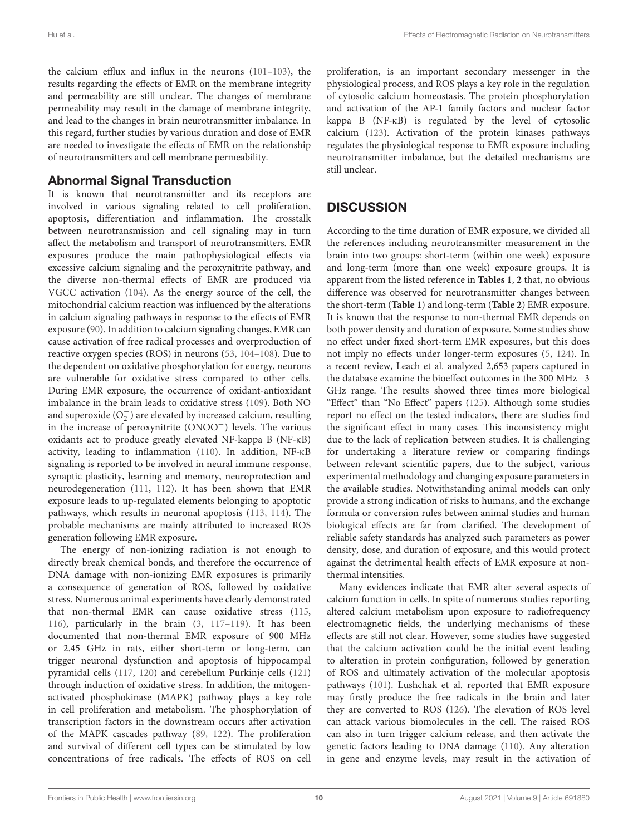the calcium efflux and influx in the neurons [\(101–](#page-13-32)[103\)](#page-14-0), the results regarding the effects of EMR on the membrane integrity and permeability are still unclear. The changes of membrane permeability may result in the damage of membrane integrity, and lead to the changes in brain neurotransmitter imbalance. In this regard, further studies by various duration and dose of EMR are needed to investigate the effects of EMR on the relationship of neurotransmitters and cell membrane permeability.

## Abnormal Signal Transduction

It is known that neurotransmitter and its receptors are involved in various signaling related to cell proliferation, apoptosis, differentiation and inflammation. The crosstalk between neurotransmission and cell signaling may in turn affect the metabolism and transport of neurotransmitters. EMR exposures produce the main pathophysiological effects via excessive calcium signaling and the peroxynitrite pathway, and the diverse non-thermal effects of EMR are produced via VGCC activation [\(104\)](#page-14-1). As the energy source of the cell, the mitochondrial calcium reaction was influenced by the alterations in calcium signaling pathways in response to the effects of EMR exposure [\(90\)](#page-13-22). In addition to calcium signaling changes, EMR can cause activation of free radical processes and overproduction of reactive oxygen species (ROS) in neurons [\(53,](#page-12-29) [104](#page-14-1)[–108\)](#page-14-2). Due to the dependent on oxidative phosphorylation for energy, neurons are vulnerable for oxidative stress compared to other cells. During EMR exposure, the occurrence of oxidant-antioxidant imbalance in the brain leads to oxidative stress [\(109\)](#page-14-3). Both NO and superoxide  $\overline{(\mathrm{O}_2^-)}$  are elevated by increased calcium, resulting in the increase of peroxynitrite (ONOO−) levels. The various oxidants act to produce greatly elevated NF-kappa B (NF-κB) activity, leading to inflammation [\(110\)](#page-14-4). In addition, NF-κB signaling is reported to be involved in neural immune response, synaptic plasticity, learning and memory, neuroprotection and neurodegeneration [\(111,](#page-14-5) [112\)](#page-14-6). It has been shown that EMR exposure leads to up-regulated elements belonging to apoptotic pathways, which results in neuronal apoptosis [\(113,](#page-14-7) [114\)](#page-14-8). The probable mechanisms are mainly attributed to increased ROS generation following EMR exposure.

The energy of non-ionizing radiation is not enough to directly break chemical bonds, and therefore the occurrence of DNA damage with non-ionizing EMR exposures is primarily a consequence of generation of ROS, followed by oxidative stress. Numerous animal experiments have clearly demonstrated that non-thermal EMR can cause oxidative stress [\(115,](#page-14-9) [116\)](#page-14-10), particularly in the brain [\(3,](#page-11-1) [117–](#page-14-11)[119\)](#page-14-12). It has been documented that non-thermal EMR exposure of 900 MHz or 2.45 GHz in rats, either short-term or long-term, can trigger neuronal dysfunction and apoptosis of hippocampal pyramidal cells [\(117,](#page-14-11) [120\)](#page-14-13) and cerebellum Purkinje cells [\(121\)](#page-14-14) through induction of oxidative stress. In addition, the mitogenactivated phosphokinase (MAPK) pathway plays a key role in cell proliferation and metabolism. The phosphorylation of transcription factors in the downstream occurs after activation of the MAPK cascades pathway [\(89,](#page-13-21) [122\)](#page-14-15). The proliferation and survival of different cell types can be stimulated by low concentrations of free radicals. The effects of ROS on cell proliferation, is an important secondary messenger in the physiological process, and ROS plays a key role in the regulation of cytosolic calcium homeostasis. The protein phosphorylation and activation of the AP-1 family factors and nuclear factor kappa B (NF-κB) is regulated by the level of cytosolic calcium [\(123\)](#page-14-16). Activation of the protein kinases pathways regulates the physiological response to EMR exposure including neurotransmitter imbalance, but the detailed mechanisms are still unclear.

## **DISCUSSION**

According to the time duration of EMR exposure, we divided all the references including neurotransmitter measurement in the brain into two groups: short-term (within one week) exposure and long-term (more than one week) exposure groups. It is apparent from the listed reference in **[Tables 1](#page-2-0)**, **[2](#page-3-0)** that, no obvious difference was observed for neurotransmitter changes between the short-term (**[Table 1](#page-2-0)**) and long-term (**[Table 2](#page-3-0)**) EMR exposure. It is known that the response to non-thermal EMR depends on both power density and duration of exposure. Some studies show no effect under fixed short-term EMR exposures, but this does not imply no effects under longer-term exposures [\(5,](#page-11-20) [124\)](#page-14-17). In a recent review, Leach et al. analyzed 2,653 papers captured in the database examine the bioeffect outcomes in the 300 MHz−3 GHz range. The results showed three times more biological "Effect" than "No Effect" papers [\(125\)](#page-14-18). Although some studies report no effect on the tested indicators, there are studies find the significant effect in many cases. This inconsistency might due to the lack of replication between studies. It is challenging for undertaking a literature review or comparing findings between relevant scientific papers, due to the subject, various experimental methodology and changing exposure parameters in the available studies. Notwithstanding animal models can only provide a strong indication of risks to humans, and the exchange formula or conversion rules between animal studies and human biological effects are far from clarified. The development of reliable safety standards has analyzed such parameters as power density, dose, and duration of exposure, and this would protect against the detrimental health effects of EMR exposure at nonthermal intensities.

Many evidences indicate that EMR alter several aspects of calcium function in cells. In spite of numerous studies reporting altered calcium metabolism upon exposure to radiofrequency electromagnetic fields, the underlying mechanisms of these effects are still not clear. However, some studies have suggested that the calcium activation could be the initial event leading to alteration in protein configuration, followed by generation of ROS and ultimately activation of the molecular apoptosis pathways [\(101\)](#page-13-32). Lushchak et al. reported that EMR exposure may firstly produce the free radicals in the brain and later they are converted to ROS [\(126\)](#page-14-19). The elevation of ROS level can attack various biomolecules in the cell. The raised ROS can also in turn trigger calcium release, and then activate the genetic factors leading to DNA damage [\(110\)](#page-14-4). Any alteration in gene and enzyme levels, may result in the activation of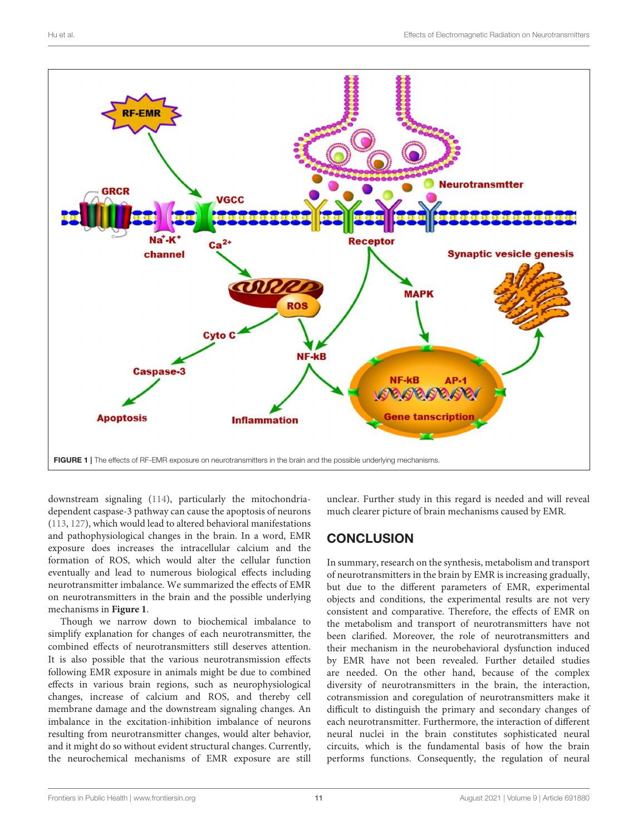

<span id="page-10-0"></span>downstream signaling [\(114\)](#page-14-8), particularly the mitochondriadependent caspase-3 pathway can cause the apoptosis of neurons [\(113,](#page-14-7) [127\)](#page-14-20), which would lead to altered behavioral manifestations and pathophysiological changes in the brain. In a word, EMR exposure does increases the intracellular calcium and the formation of ROS, which would alter the cellular function eventually and lead to numerous biological effects including neurotransmitter imbalance. We summarized the effects of EMR on neurotransmitters in the brain and the possible underlying mechanisms in **[Figure 1](#page-10-0)**.

Though we narrow down to biochemical imbalance to simplify explanation for changes of each neurotransmitter, the combined effects of neurotransmitters still deserves attention. It is also possible that the various neurotransmission effects following EMR exposure in animals might be due to combined effects in various brain regions, such as neurophysiological changes, increase of calcium and ROS, and thereby cell membrane damage and the downstream signaling changes. An imbalance in the excitation-inhibition imbalance of neurons resulting from neurotransmitter changes, would alter behavior, and it might do so without evident structural changes. Currently, the neurochemical mechanisms of EMR exposure are still unclear. Further study in this regard is needed and will reveal much clearer picture of brain mechanisms caused by EMR.

# **CONCLUSION**

In summary, research on the synthesis, metabolism and transport of neurotransmitters in the brain by EMR is increasing gradually, but due to the different parameters of EMR, experimental objects and conditions, the experimental results are not very consistent and comparative. Therefore, the effects of EMR on the metabolism and transport of neurotransmitters have not been clarified. Moreover, the role of neurotransmitters and their mechanism in the neurobehavioral dysfunction induced by EMR have not been revealed. Further detailed studies are needed. On the other hand, because of the complex diversity of neurotransmitters in the brain, the interaction, cotransmission and coregulation of neurotransmitters make it difficult to distinguish the primary and secondary changes of each neurotransmitter. Furthermore, the interaction of different neural nuclei in the brain constitutes sophisticated neural circuits, which is the fundamental basis of how the brain performs functions. Consequently, the regulation of neural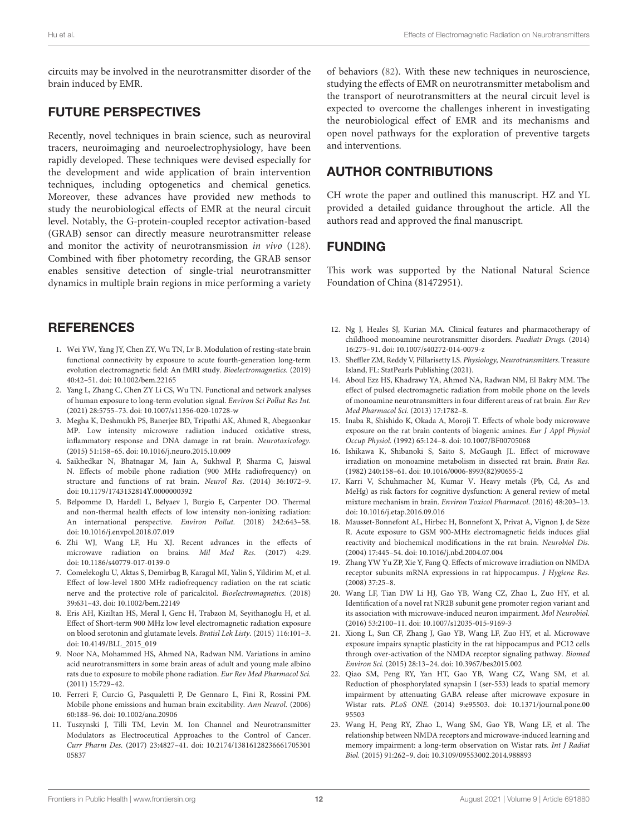circuits may be involved in the neurotransmitter disorder of the brain induced by EMR.

#### FUTURE PERSPECTIVES

Recently, novel techniques in brain science, such as neuroviral tracers, neuroimaging and neuroelectrophysiology, have been rapidly developed. These techniques were devised especially for the development and wide application of brain intervention techniques, including optogenetics and chemical genetics. Moreover, these advances have provided new methods to study the neurobiological effects of EMR at the neural circuit level. Notably, the G-protein-coupled receptor activation-based (GRAB) sensor can directly measure neurotransmitter release and monitor the activity of neurotransmission in vivo [\(128\)](#page-14-21). Combined with fiber photometry recording, the GRAB sensor enables sensitive detection of single-trial neurotransmitter dynamics in multiple brain regions in mice performing a variety

## **REFERENCES**

- <span id="page-11-0"></span>1. Wei YW, Yang JY, Chen ZY, Wu TN, Lv B. Modulation of resting-state brain functional connectivity by exposure to acute fourth-generation long-term evolution electromagnetic field: An fMRI study. Bioelectromagnetics. (2019) 40:42–51. doi: [10.1002/bem.22165](https://doi.org/10.1002/bem.22165)
- 2. Yang L, Zhang C, Chen ZY Li CS, Wu TN. Functional and network analyses of human exposure to long-term evolution signal. Environ Sci Pollut Res Int. (2021) 28:5755–73. doi: [10.1007/s11356-020-10728-w](https://doi.org/10.1007/s11356-020-10728-w)
- <span id="page-11-1"></span>3. Megha K, Deshmukh PS, Banerjee BD, Tripathi AK, Ahmed R, Abegaonkar MP. Low intensity microwave radiation induced oxidative stress, inflammatory response and DNA damage in rat brain. Neurotoxicology. (2015) 51:158–65. doi: [10.1016/j.neuro.2015.10.009](https://doi.org/10.1016/j.neuro.2015.10.009)
- <span id="page-11-2"></span>4. Saikhedkar N, Bhatnagar M, Jain A, Sukhwal P, Sharma C, Jaiswal N. Effects of mobile phone radiation (900 MHz radiofrequency) on structure and functions of rat brain. Neurol Res. (2014) 36:1072–9. doi: [10.1179/1743132814Y.0000000392](https://doi.org/10.1179/1743132814Y.0000000392)
- <span id="page-11-20"></span>5. Belpomme D, Hardell L, Belyaev I, Burgio E, Carpenter DO. Thermal and non-thermal health effects of low intensity non-ionizing radiation: An international perspective. Environ Pollut. (2018) 242:643–58. doi: [10.1016/j.envpol.2018.07.019](https://doi.org/10.1016/j.envpol.2018.07.019)
- 6. Zhi WJ, Wang LF, Hu XJ. Recent advances in the effects of microwave radiation on brains. Mil Med Res. (2017) 4:29. doi: [10.1186/s40779-017-0139-0](https://doi.org/10.1186/s40779-017-0139-0)
- <span id="page-11-3"></span>7. Comelekoglu U, Aktas S, Demirbag B, Karagul MI, Yalin S, Yildirim M, et al. Effect of low-level 1800 MHz radiofrequency radiation on the rat sciatic nerve and the protective role of paricalcitol. Bioelectromagnetics. (2018) 39:631–43. doi: [10.1002/bem.22149](https://doi.org/10.1002/bem.22149)
- <span id="page-11-4"></span>8. Eris AH, Kiziltan HS, Meral I, Genc H, Trabzon M, Seyithanoglu H, et al. Effect of Short-term 900 MHz low level electromagnetic radiation exposure on blood serotonin and glutamate levels. Bratisl Lek Listy. (2015) 116:101–3. doi: [10.4149/BLL\\_2015\\_019](https://doi.org/10.4149/BLL_2015_019)
- <span id="page-11-5"></span>9. Noor NA, Mohammed HS, Ahmed NA, Radwan NM. Variations in amino acid neurotransmitters in some brain areas of adult and young male albino rats due to exposure to mobile phone radiation. Eur Rev Med Pharmacol Sci. (2011) 15:729–42.
- <span id="page-11-6"></span>10. Ferreri F, Curcio G, Pasqualetti P, De Gennaro L, Fini R, Rossini PM. Mobile phone emissions and human brain excitability. Ann Neurol. (2006) 60:188–96. doi: [10.1002/ana.20906](https://doi.org/10.1002/ana.20906)
- <span id="page-11-7"></span>11. Tuszynski J, Tilli TM, Levin M. Ion Channel and Neurotransmitter Modulators as Electroceutical Approaches to the Control of Cancer. Curr Pharm Des. [\(2017\) 23:4827–41. doi: 10.2174/13816128236661705301](https://doi.org/10.2174/1381612823666170530105837) 05837

of behaviors [\(82\)](#page-13-13). With these new techniques in neuroscience, studying the effects of EMR on neurotransmitter metabolism and the transport of neurotransmitters at the neural circuit level is expected to overcome the challenges inherent in investigating the neurobiological effect of EMR and its mechanisms and open novel pathways for the exploration of preventive targets and interventions.

## AUTHOR CONTRIBUTIONS

CH wrote the paper and outlined this manuscript. HZ and YL provided a detailed guidance throughout the article. All the authors read and approved the final manuscript.

#### FUNDING

This work was supported by the National Natural Science Foundation of China (81472951).

- <span id="page-11-8"></span>12. Ng J, Heales SJ, Kurian MA. Clinical features and pharmacotherapy of childhood monoamine neurotransmitter disorders. Paediatr Drugs. (2014) 16:275–91. doi: [10.1007/s40272-014-0079-z](https://doi.org/10.1007/s40272-014-0079-z)
- <span id="page-11-9"></span>13. Sheffler ZM, Reddy V, Pillarisetty LS. Physiology, Neurotransmitters. Treasure Island, FL: StatPearls Publishing (2021).
- <span id="page-11-10"></span>14. Aboul Ezz HS, Khadrawy YA, Ahmed NA, Radwan NM, El Bakry MM. The effect of pulsed electromagnetic radiation from mobile phone on the levels of monoamine neurotransmitters in four different areas of rat brain. Eur Rev Med Pharmacol Sci. (2013) 17:1782–8.
- <span id="page-11-11"></span>15. Inaba R, Shishido K, Okada A, Moroji T. Effects of whole body microwave exposure on the rat brain contents of biogenic amines. Eur J Appl Physiol Occup Physiol. (1992) 65:124–8. doi: [10.1007/BF00705068](https://doi.org/10.1007/BF00705068)
- <span id="page-11-12"></span>16. Ishikawa K, Shibanoki S, Saito S, McGaugh JL. Effect of microwave irradiation on monoamine metabolism in dissected rat brain. Brain Res. (1982) 240:158–61. doi: [10.1016/0006-8993\(82\)90655-2](https://doi.org/10.1016/0006-8993(82)90655-2)
- <span id="page-11-13"></span>17. Karri V, Schuhmacher M, Kumar V. Heavy metals (Pb, Cd, As and MeHg) as risk factors for cognitive dysfunction: A general review of metal mixture mechanism in brain. Environ Toxicol Pharmacol. (2016) 48:203–13. doi: [10.1016/j.etap.2016.09.016](https://doi.org/10.1016/j.etap.2016.09.016)
- <span id="page-11-14"></span>18. Mausset-Bonnefont AL, Hirbec H, Bonnefont X, Privat A, Vignon J, de Sèze R. Acute exposure to GSM 900-MHz electromagnetic fields induces glial reactivity and biochemical modifications in the rat brain. Neurobiol Dis. (2004) 17:445–54. doi: [10.1016/j.nbd.2004.07.004](https://doi.org/10.1016/j.nbd.2004.07.004)
- <span id="page-11-15"></span>19. Zhang YW Yu ZP, Xie Y, Fang Q. Effects of microwave irradiation on NMDA receptor subunits mRNA expressions in rat hippocampus. J Hygiene Res. (2008) 37:25–8.
- <span id="page-11-16"></span>20. Wang LF, Tian DW Li HJ, Gao YB, Wang CZ, Zhao L, Zuo HY, et al. Identification of a novel rat NR2B subunit gene promoter region variant and its association with microwave-induced neuron impairment. Mol Neurobiol. (2016) 53:2100–11. doi: [10.1007/s12035-015-9169-3](https://doi.org/10.1007/s12035-015-9169-3)
- <span id="page-11-17"></span>21. Xiong L, Sun CF, Zhang J, Gao YB, Wang LF, Zuo HY, et al. Microwave exposure impairs synaptic plasticity in the rat hippocampus and PC12 cells through over-activation of the NMDA receptor signaling pathway. Biomed Environ Sci. (2015) 28:13–24. doi: [10.3967/bes2015.002](https://doi.org/10.3967/bes2015.002)
- <span id="page-11-18"></span>22. Qiao SM, Peng RY, Yan HT, Gao YB, Wang CZ, Wang SM, et al. Reduction of phosphorylated synapsin I (ser-553) leads to spatial memory impairment by attenuating GABA release after microwave exposure in Wistar rats. PLoS ONE. [\(2014\) 9:e95503. doi: 10.1371/journal.pone.00](https://doi.org/10.1371/journal.pone.0095503) 95503
- <span id="page-11-19"></span>23. Wang H, Peng RY, Zhao L, Wang SM, Gao YB, Wang LF, et al. The relationship between NMDA receptors and microwave-induced learning and memory impairment: a long-term observation on Wistar rats. Int J Radiat Biol. (2015) 91:262–9. doi: [10.3109/09553002.2014.988893](https://doi.org/10.3109/09553002.2014.988893)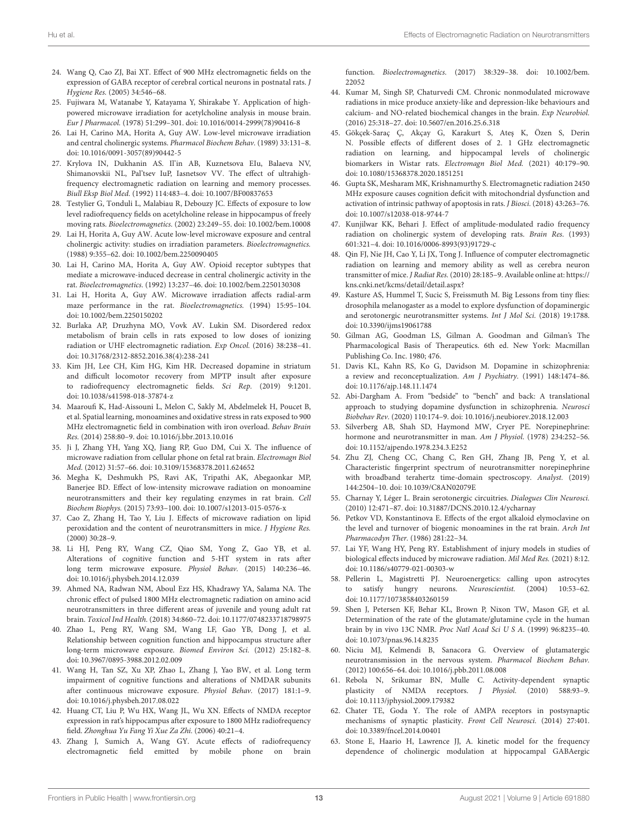- <span id="page-12-6"></span>24. Wang Q, Cao ZJ, Bai XT. Effect of 900 MHz electromagnetic fields on the expression of GABA receptor of cerebral cortical neurons in postnatal rats. J Hygiene Res. (2005) 34:546–68.
- <span id="page-12-7"></span>25. Fujiwara M, Watanabe Y, Katayama Y, Shirakabe Y. Application of highpowered microwave irradiation for acetylcholine analysis in mouse brain. Eur J Pharmacol. (1978) 51:299–301. doi: [10.1016/0014-2999\(78\)90416-8](https://doi.org/10.1016/0014-2999(78)90416-8)
- <span id="page-12-8"></span>26. Lai H, Carino MA, Horita A, Guy AW. Low-level microwave irradiation and central cholinergic systems. Pharmacol Biochem Behav. (1989) 33:131–8. doi: [10.1016/0091-3057\(89\)90442-5](https://doi.org/10.1016/0091-3057(89)90442-5)
- <span id="page-12-9"></span>27. Krylova IN, Dukhanin AS. Il'in AB, Kuznetsova EIu, Balaeva NV, Shimanovskii NL, Pal'tsev IuP, Iasnetsov VV. The effect of ultrahighfrequency electromagnetic radiation on learning and memory processes. Biull Eksp Biol Med. (1992) 114:483–4. doi: [10.1007/BF00837653](https://doi.org/10.1007/BF00837653)
- <span id="page-12-10"></span>28. Testylier G, Tonduli L, Malabiau R, Debouzy JC. Effects of exposure to low level radiofrequency fields on acetylcholine release in hippocampus of freely moving rats. Bioelectromagnetics. (2002) 23:249–55. doi: [10.1002/bem.10008](https://doi.org/10.1002/bem.10008)
- <span id="page-12-11"></span>29. Lai H, Horita A, Guy AW. Acute low-level microwave exposure and central cholinergic activity: studies on irradiation parameters. Bioelectromagnetics. (1988) 9:355–62. doi: [10.1002/bem.2250090405](https://doi.org/10.1002/bem.2250090405)
- <span id="page-12-12"></span>30. Lai H, Carino MA, Horita A, Guy AW. Opioid receptor subtypes that mediate a microwave-induced decrease in central cholinergic activity in the rat. Bioelectromagnetics. (1992) 13:237–46. doi: [10.1002/bem.2250130308](https://doi.org/10.1002/bem.2250130308)
- <span id="page-12-13"></span>31. Lai H, Horita A, Guy AW. Microwave irradiation affects radial-arm maze performance in the rat. Bioelectromagnetics. (1994) 15:95–104. doi: [10.1002/bem.2250150202](https://doi.org/10.1002/bem.2250150202)
- <span id="page-12-14"></span>32. Burlaka AP, Druzhyna MO, Vovk AV. Lukin SM. Disordered redox metabolism of brain cells in rats exposed to low doses of ionizing radiation or UHF electromagnetic radiation. Exp Oncol. (2016) 38:238–41. doi: [10.31768/2312-8852.2016.38\(4\):238-241](https://doi.org/10.31768/2312-8852.2016.38(4):238-241)
- <span id="page-12-5"></span>33. Kim JH, Lee CH, Kim HG, Kim HR. Decreased dopamine in striatum and difficult locomotor recovery from MPTP insult after exposure to radiofrequency electromagnetic fields. Sci Rep. (2019) 9:1201. doi: [10.1038/s41598-018-37874-z](https://doi.org/10.1038/s41598-018-37874-z)
- <span id="page-12-4"></span>34. Maaroufi K, Had-Aissouni L, Melon C, Sakly M, Abdelmelek H, Poucet B, et al. Spatial learning, monoamines and oxidative stress in rats exposed to 900 MHz electromagnetic field in combination with iron overload. Behav Brain Res. (2014) 258:80–9. doi: [10.1016/j.bbr.2013.10.016](https://doi.org/10.1016/j.bbr.2013.10.016)
- <span id="page-12-15"></span>35. Ji J, Zhang YH, Yang XQ, Jiang RP, Guo DM, Cui X. The influence of microwave radiation from cellular phone on fetal rat brain. Electromagn Biol Med. (2012) 31:57–66. doi: [10.3109/15368378.2011.624652](https://doi.org/10.3109/15368378.2011.624652)
- <span id="page-12-16"></span>36. Megha K, Deshmukh PS, Ravi AK, Tripathi AK, Abegaonkar MP, Banerjee BD. Effect of low-intensity microwave radiation on monoamine neurotransmitters and their key regulating enzymes in rat brain. Cell Biochem Biophys. (2015) 73:93–100. doi: [10.1007/s12013-015-0576-x](https://doi.org/10.1007/s12013-015-0576-x)
- <span id="page-12-17"></span>37. Cao Z, Zhang H, Tao Y, Liu J. Effects of microwave radiation on lipid peroxidation and the content of neurotransmitters in mice. J Hygiene Res. (2000) 30:28–9.
- <span id="page-12-18"></span>38. Li HJ, Peng RY, Wang CZ, Qiao SM, Yong Z, Gao YB, et al. Alterations of cognitive function and 5-HT system in rats after long term microwave exposure. Physiol Behav. (2015) 140:236–46. doi: [10.1016/j.physbeh.2014.12.039](https://doi.org/10.1016/j.physbeh.2014.12.039)
- <span id="page-12-19"></span>39. Ahmed NA, Radwan NM, Aboul Ezz HS, Khadrawy YA, Salama NA. The chronic effect of pulsed 1800 MHz electromagnetic radiation on amino acid neurotransmitters in three different areas of juvenile and young adult rat brain. Toxicol Ind Health. (2018) 34:860–72. doi: [10.1177/0748233718798975](https://doi.org/10.1177/0748233718798975)
- <span id="page-12-20"></span>40. Zhao L, Peng RY, Wang SM, Wang LF, Gao YB, Dong J, et al. Relationship between cognition function and hippocampus structure after long-term microwave exposure. Biomed Environ Sci. (2012) 25:182–8. doi: [10.3967/0895-3988.2012.02.009](https://doi.org/10.3967/0895-3988.2012.02.009)
- <span id="page-12-21"></span>41. Wang H, Tan SZ, Xu XP, Zhao L, Zhang J, Yao BW, et al. Long term impairment of cognitive functions and alterations of NMDAR subunits after continuous microwave exposure. Physiol Behav. (2017) 181:1–9. doi: [10.1016/j.physbeh.2017.08.022](https://doi.org/10.1016/j.physbeh.2017.08.022)
- <span id="page-12-22"></span>42. Huang CT, Liu P, Wu HX, Wang JL, Wu XN. Effects of NMDA receptor expression in rat's hippocampus after exposure to 1800 MHz radiofrequency field. Zhonghua Yu Fang Yi Xue Za Zhi. (2006) 40:21–4.
- <span id="page-12-23"></span>43. Zhang J, Sumich A, Wang GY. Acute effects of radiofrequency electromagnetic field emitted by mobile phone on brain

function. Bioelectromagnetics. [\(2017\) 38:329–38. doi: 10.1002/bem.](https://doi.org/10.1002/bem.22052) 22052

- <span id="page-12-24"></span>44. Kumar M, Singh SP, Chaturvedi CM. Chronic nonmodulated microwave radiations in mice produce anxiety-like and depression-like behaviours and calcium- and NO-related biochemical changes in the brain. Exp Neurobiol. (2016) 25:318–27. doi: [10.5607/en.2016.25.6.318](https://doi.org/10.5607/en.2016.25.6.318)
- <span id="page-12-25"></span>45. Gökçek-Saraç Ç, Akçay G, Karakurt S, Ateş K, Özen S, Derin N. Possible effects of different doses of 2. 1 GHz electromagnetic radiation on learning, and hippocampal levels of cholinergic biomarkers in Wistar rats. Electromagn Biol Med. (2021) 40:179–90. doi: [10.1080/15368378.2020.1851251](https://doi.org/10.1080/15368378.2020.1851251)
- <span id="page-12-26"></span>46. Gupta SK, Mesharam MK, Krishnamurthy S. Electromagnetic radiation 2450 MHz exposure causes cognition deficit with mitochondrial dysfunction and activation of intrinsic pathway of apoptosis in rats. J Biosci. (2018) 43:263–76. doi: [10.1007/s12038-018-9744-7](https://doi.org/10.1007/s12038-018-9744-7)
- <span id="page-12-27"></span>47. Kunjilwar KK, Behari J. Effect of amplitude-modulated radio frequency radiation on cholinergic system of developing rats. Brain Res. (1993) 601:321–4. doi: [10.1016/0006-8993\(93\)91729-c](https://doi.org/10.1016/0006-8993(93)91729-c)
- <span id="page-12-28"></span>48. Qin FJ, Nie JH, Cao Y, Li JX, Tong J. Influence of computer electromagnetic radiation on learning and memory ability as well as cerebra neuron transmitter of mice. J Radiat Res. (2010) 28:185–9. Available online at: [https://](https://kns.cnki.net/kcms/detail/detail.aspx?) [kns.cnki.net/kcms/detail/detail.aspx?](https://kns.cnki.net/kcms/detail/detail.aspx?)
- <span id="page-12-0"></span>49. Kasture AS, Hummel T, Sucic S, Freissmuth M. Big Lessons from tiny flies: drosophila melanogaster as a model to explore dysfunction of dopaminergic and serotonergic neurotransmitter systems. Int J Mol Sci. (2018) 19:1788. doi: [10.3390/ijms19061788](https://doi.org/10.3390/ijms19061788)
- <span id="page-12-1"></span>50. Gilman AG, Goodman LS, Gilman A. Goodman and Gilman's The Pharmacological Basis of Therapeutics. 6th ed. New York: Macmillan Publishing Co. Inc. 1980; 476.
- <span id="page-12-2"></span>51. Davis KL, Kahn RS, Ko G, Davidson M. Dopamine in schizophrenia: a review and reconceptualization. Am J Psychiatry. (1991) 148:1474–86. doi: [10.1176/ajp.148.11.1474](https://doi.org/10.1176/ajp.148.11.1474)
- <span id="page-12-3"></span>52. Abi-Dargham A. From "bedside" to "bench" and back: A translational approach to studying dopamine dysfunction in schizophrenia. Neurosci Biobehav Rev. (2020) 110:174–9. doi: [10.1016/j.neubiorev.2018.12.003](https://doi.org/10.1016/j.neubiorev.2018.12.003)
- <span id="page-12-29"></span>53. Silverberg AB, Shah SD, Haymond MW, Cryer PE. Norepinephrine: hormone and neurotransmitter in man. Am J Physiol. (1978) 234:252–56. doi: [10.1152/ajpendo.1978.234.3.E252](https://doi.org/10.1152/ajpendo.1978.234.3.E252)
- <span id="page-12-30"></span>54. Zhu ZJ, Cheng CC, Chang C, Ren GH, Zhang JB, Peng Y, et al. Characteristic fingerprint spectrum of neurotransmitter norepinephrine with broadband terahertz time-domain spectroscopy. Analyst. (2019) 144:2504–10. doi: [10.1039/C8AN02079E](https://doi.org/10.1039/C8AN02079E)
- <span id="page-12-31"></span>55. Charnay Y, Léger L. Brain serotonergic circuitries. Dialogues Clin Neurosci. (2010) 12:471–87. doi: [10.31887/DCNS.2010.12.4/ycharnay](https://doi.org/10.31887/DCNS.2010.12.4/ycharnay)
- <span id="page-12-32"></span>56. Petkov VD, Konstantinova E. Effects of the ergot alkaloid elymoclavine on the level and turnover of biogenic monoamines in the rat brain. Arch Int Pharmacodyn Ther. (1986) 281:22–34.
- <span id="page-12-33"></span>57. Lai YF, Wang HY, Peng RY. Establishment of injury models in studies of biological effects induced by microwave radiation. Mil Med Res. (2021) 8:12. doi: [10.1186/s40779-021-00303-w](https://doi.org/10.1186/s40779-021-00303-w)
- <span id="page-12-34"></span>58. Pellerin L, Magistretti PJ. Neuroenergetics: calling upon astrocytes to satisfy hungry neurons. Neuroscientist. (2004) 10:53–62. doi: [10.1177/1073858403260159](https://doi.org/10.1177/1073858403260159)
- <span id="page-12-35"></span>59. Shen J, Petersen KF, Behar KL, Brown P, Nixon TW, Mason GF, et al. Determination of the rate of the glutamate/glutamine cycle in the human brain by in vivo 13C NMR. Proc Natl Acad Sci U S A. (1999) 96:8235–40. doi: [10.1073/pnas.96.14.8235](https://doi.org/10.1073/pnas.96.14.8235)
- <span id="page-12-36"></span>60. Niciu MJ, Kelmendi B, Sanacora G. Overview of glutamatergic neurotransmission in the nervous system. Pharmacol Biochem Behav. (2012) 100:656–64. doi: [10.1016/j.pbb.2011.08.008](https://doi.org/10.1016/j.pbb.2011.08.008)
- <span id="page-12-37"></span>61. Rebola N, Srikumar BN, Mulle C. Activity-dependent synaptic plasticity of NMDA receptors. J Physiol. (2010) 588:93–9. doi: [10.1113/jphysiol.2009.179382](https://doi.org/10.1113/jphysiol.2009.179382)
- <span id="page-12-38"></span>62. Chater TE, Goda Y. The role of AMPA receptors in postsynaptic mechanisms of synaptic plasticity. Front Cell Neurosci. (2014) 27:401. doi: [10.3389/fncel.2014.00401](https://doi.org/10.3389/fncel.2014.00401)
- <span id="page-12-39"></span>63. Stone E, Haario H, Lawrence JJ, A. kinetic model for the frequency dependence of cholinergic modulation at hippocampal GABAergic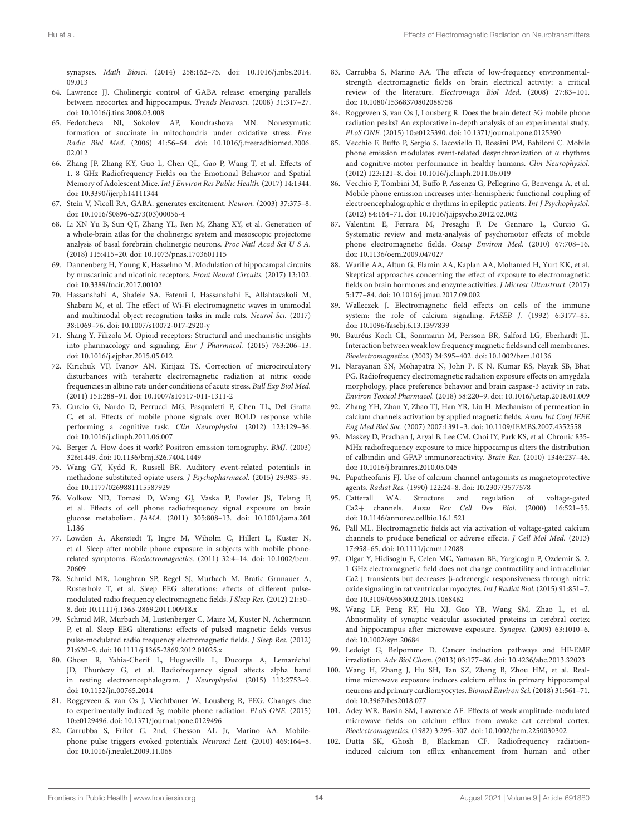synapses. Math Biosci. [\(2014\) 258:162–75. doi: 10.1016/j.mbs.2014.](https://doi.org/10.1016/j.mbs.2014.09.013) 09.013

- <span id="page-13-0"></span>64. Lawrence JJ. Cholinergic control of GABA release: emerging parallels between neocortex and hippocampus. Trends Neurosci. (2008) 31:317–27. doi: [10.1016/j.tins.2008.03.008](https://doi.org/10.1016/j.tins.2008.03.008)
- <span id="page-13-1"></span>65. Fedotcheva NI, Sokolov AP, Kondrashova MN. Nonezymatic formation of succinate in mitochondria under oxidative stress. Free Radic Biol Med[. \(2006\) 41:56–64. doi: 10.1016/j.freeradbiomed.2006.](https://doi.org/10.1016/j.freeradbiomed.2006.02.012) 02.012
- <span id="page-13-2"></span>66. Zhang JP, Zhang KY, Guo L, Chen QL, Gao P, Wang T, et al. Effects of 1. 8 GHz Radiofrequency Fields on the Emotional Behavior and Spatial Memory of Adolescent Mice. Int J Environ Res Public Health. (2017) 14:1344. doi: [10.3390/ijerph14111344](https://doi.org/10.3390/ijerph14111344)
- <span id="page-13-3"></span>67. Stein V, Nicoll RA, GABA. generates excitement. Neuron. (2003) 37:375–8. doi: [10.1016/S0896-6273\(03\)00056-4](https://doi.org/10.1016/S0896-6273(03)00056-4)
- <span id="page-13-4"></span>68. Li XN Yu B, Sun QT, Zhang YL, Ren M, Zhang XY, et al. Generation of a whole-brain atlas for the cholinergic system and mesoscopic projectome analysis of basal forebrain cholinergic neurons. Proc Natl Acad Sci U S A. (2018) 115:415–20. doi: [10.1073/pnas.1703601115](https://doi.org/10.1073/pnas.1703601115)
- <span id="page-13-5"></span>69. Dannenberg H, Young K, Hasselmo M. Modulation of hippocampal circuits by muscarinic and nicotinic receptors. Front Neural Circuits. (2017) 13:102. doi: [10.3389/fncir.2017.00102](https://doi.org/10.3389/fncir.2017.00102)
- <span id="page-13-6"></span>70. Hassanshahi A, Shafeie SA, Fatemi I, Hassanshahi E, Allahtavakoli M, Shabani M, et al. The effect of Wi-Fi electromagnetic waves in unimodal and multimodal object recognition tasks in male rats. Neurol Sci. (2017) 38:1069–76. doi: [10.1007/s10072-017-2920-y](https://doi.org/10.1007/s10072-017-2920-y)
- <span id="page-13-7"></span>71. Shang Y, Filizola M. Opioid receptors: Structural and mechanistic insights into pharmacology and signaling. Eur J Pharmacol. (2015) 763:206–13. doi: [10.1016/j.ejphar.2015.05.012](https://doi.org/10.1016/j.ejphar.2015.05.012)
- <span id="page-13-8"></span>72. Kirichuk VF, Ivanov AN, Kirijazi TS. Correction of microcirculatory disturbances with terahertz electromagnetic radiation at nitric oxide frequencies in albino rats under conditions of acute stress. Bull Exp Biol Med. (2011) 151:288–91. doi: [10.1007/s10517-011-1311-2](https://doi.org/10.1007/s10517-011-1311-2)
- <span id="page-13-9"></span>73. Curcio G, Nardo D, Perrucci MG, Pasqualetti P, Chen TL, Del Gratta C, et al. Effects of mobile phone signals over BOLD response while performing a cognitive task. Clin Neurophysiol. (2012) 123:129–36. doi: [10.1016/j.clinph.2011.06.007](https://doi.org/10.1016/j.clinph.2011.06.007)
- <span id="page-13-10"></span>74. Berger A. How does it work? Positron emission tomography. BMJ. (2003) 326:1449. doi: [10.1136/bmj.326.7404.1449](https://doi.org/10.1136/bmj.326.7404.1449)
- 75. Wang GY, Kydd R, Russell BR. Auditory event-related potentials in methadone substituted opiate users. J Psychopharmacol. (2015) 29:983–95. doi: [10.1177/0269881115587929](https://doi.org/10.1177/0269881115587929)
- <span id="page-13-11"></span>76. Volkow ND, Tomasi D, Wang GJ, Vaska P, Fowler JS, Telang F, et al. Effects of cell phone radiofrequency signal exposure on brain glucose metabolism. JAMA. [\(2011\) 305:808–13. doi: 10.1001/jama.201](https://doi.org/10.1001/jama.2011.186) 1.186
- <span id="page-13-12"></span>77. Lowden A, Akerstedt T, Ingre M, Wiholm C, Hillert L, Kuster N, et al. Sleep after mobile phone exposure in subjects with mobile phonerelated symptoms. Bioelectromagnetics. [\(2011\) 32:4–14. doi: 10.1002/bem.](https://doi.org/10.1002/bem.20609) 20609
- 78. Schmid MR, Loughran SP, Regel SJ, Murbach M, Bratic Grunauer A, Rusterholz T, et al. Sleep EEG alterations: effects of different pulsemodulated radio frequency electromagnetic fields. J Sleep Res. (2012) 21:50– 8. doi: [10.1111/j.1365-2869.2011.00918.x](https://doi.org/10.1111/j.1365-2869.2011.00918.x)
- 79. Schmid MR, Murbach M, Lustenberger C, Maire M, Kuster N, Achermann P, et al. Sleep EEG alterations: effects of pulsed magnetic fields versus pulse-modulated radio frequency electromagnetic fields. J Sleep Res. (2012) 21:620–9. doi: [10.1111/j.1365-2869.2012.01025.x](https://doi.org/10.1111/j.1365-2869.2012.01025.x)
- 80. Ghosn R, Yahia-Cherif L, Hugueville L, Ducorps A, Lemaréchal JD, Thuróczy G, et al. Radiofrequency signal affects alpha band in resting electroencephalogram. J Neurophysiol. (2015) 113:2753–9. doi: [10.1152/jn.00765.2014](https://doi.org/10.1152/jn.00765.2014)
- <span id="page-13-16"></span>81. Roggeveen S, van Os J, Viechtbauer W, Lousberg R, EEG. Changes due to experimentally induced 3g mobile phone radiation. PLoS ONE. (2015) 10:e0129496. doi: [10.1371/journal.pone.0129496](https://doi.org/10.1371/journal.pone.0129496)
- <span id="page-13-13"></span>82. Carrubba S, Frilot C. 2nd, Chesson AL Jr, Marino AA. Mobilephone pulse triggers evoked potentials. Neurosci Lett. (2010) 469:164–8. doi: [10.1016/j.neulet.2009.11.068](https://doi.org/10.1016/j.neulet.2009.11.068)
- <span id="page-13-14"></span>83. Carrubba S, Marino AA. The effects of low-frequency environmentalstrength electromagnetic fields on brain electrical activity: a critical review of the literature. Electromagn Biol Med. (2008) 27:83–101. doi: [10.1080/15368370802088758](https://doi.org/10.1080/15368370802088758)
- <span id="page-13-15"></span>84. Roggeveen S, van Os J, Lousberg R. Does the brain detect 3G mobile phone radiation peaks? An explorative in-depth analysis of an experimental study. PLoS ONE. (2015) 10:e0125390. doi: [10.1371/journal.pone.0125390](https://doi.org/10.1371/journal.pone.0125390)
- <span id="page-13-17"></span>85. Vecchio F, Buffo P, Sergio S, Iacoviello D, Rossini PM, Babiloni C. Mobile phone emission modulates event-related desynchronization of α rhythms and cognitive-motor performance in healthy humans. Clin Neurophysiol. (2012) 123:121–8. doi: [10.1016/j.clinph.2011.06.019](https://doi.org/10.1016/j.clinph.2011.06.019)
- <span id="page-13-19"></span>86. Vecchio F, Tombini M, Buffo P, Assenza G, Pellegrino G, Benvenga A, et al. Mobile phone emission increases inter-hemispheric functional coupling of electroencephalographic α rhythms in epileptic patients. Int J Psychophysiol. (2012) 84:164–71. doi: [10.1016/j.ijpsycho.2012.02.002](https://doi.org/10.1016/j.ijpsycho.2012.02.002)
- <span id="page-13-18"></span>87. Valentini E, Ferrara M, Presaghi F, De Gennaro L, Curcio G. Systematic review and meta-analysis of psychomotor effects of mobile phone electromagnetic fields. Occup Environ Med. (2010) 67:708–16. doi: [10.1136/oem.2009.047027](https://doi.org/10.1136/oem.2009.047027)
- <span id="page-13-20"></span>88. Warille AA, Altun G, Elamin AA, Kaplan AA, Mohamed H, Yurt KK, et al. Skeptical approaches concerning the effect of exposure to electromagnetic fields on brain hormones and enzyme activities. J Microsc Ultrastruct. (2017) 5:177–84. doi: [10.1016/j.jmau.2017.09.002](https://doi.org/10.1016/j.jmau.2017.09.002)
- <span id="page-13-21"></span>89. Walleczek J. Electromagnetic field effects on cells of the immune system: the role of calcium signaling. FASEB J. (1992) 6:3177–85. doi: [10.1096/fasebj.6.13.1397839](https://doi.org/10.1096/fasebj.6.13.1397839)
- <span id="page-13-22"></span>90. Bauréus Koch CL, Sommarin M, Persson BR, Salford LG, Eberhardt JL. Interaction between weak low frequency magnetic fields and cell membranes. Bioelectromagnetics. (2003) 24:395–402. doi: [10.1002/bem.10136](https://doi.org/10.1002/bem.10136)
- <span id="page-13-23"></span>91. Narayanan SN, Mohapatra N, John P. K N, Kumar RS, Nayak SB, Bhat PG. Radiofrequency electromagnetic radiation exposure effects on amygdala morphology, place preference behavior and brain caspase-3 activity in rats. Environ Toxicol Pharmacol. (2018) 58:220–9. doi: [10.1016/j.etap.2018.01.009](https://doi.org/10.1016/j.etap.2018.01.009)
- <span id="page-13-24"></span>92. Zhang YH, Zhan Y, Zhao TJ, Han YR, Liu H. Mechanism of permeation in calcium channels activation by applied magnetic fields. Annu Int Conf IEEE Eng Med Biol Soc. (2007) 2007:1391–3. doi: [10.1109/IEMBS.2007.4352558](https://doi.org/10.1109/IEMBS.2007.4352558)
- <span id="page-13-25"></span>93. Maskey D, Pradhan J, Aryal B, Lee CM, Choi IY, Park KS, et al. Chronic 835- MHz radiofrequency exposure to mice hippocampus alters the distribution of calbindin and GFAP immunoreactivity. Brain Res. (2010) 1346:237–46. doi: [10.1016/j.brainres.2010.05.045](https://doi.org/10.1016/j.brainres.2010.05.045)
- <span id="page-13-26"></span>94. Papatheofanis FJ. Use of calcium channel antagonists as magnetoprotective agents. Radiat Res. (1990) 122:24–8. doi: [10.2307/3577578](https://doi.org/10.2307/3577578)
- 95. Catterall WA. Structure and regulation of voltage-gated Ca2+ channels. Annu Rev Cell Dev Biol. (2000) 16:521–55. doi: [10.1146/annurev.cellbio.16.1.521](https://doi.org/10.1146/annurev.cellbio.16.1.521)
- <span id="page-13-27"></span>96. Pall ML. Electromagnetic fields act via activation of voltage-gated calcium channels to produce beneficial or adverse effects. J Cell Mol Med. (2013) 17:958–65. doi: [10.1111/jcmm.12088](https://doi.org/10.1111/jcmm.12088)
- <span id="page-13-28"></span>97. Olgar Y, Hidisoglu E, Celen MC, Yamasan BE, Yargicoglu P, Ozdemir S. 2. 1 GHz electromagnetic field does not change contractility and intracellular Ca2+ transients but decreases β-adrenergic responsiveness through nitric oxide signaling in rat ventricular myocytes. Int J Radiat Biol. (2015) 91:851–7. doi: [10.3109/09553002.2015.1068462](https://doi.org/10.3109/09553002.2015.1068462)
- <span id="page-13-29"></span>98. Wang LF, Peng RY, Hu XJ, Gao YB, Wang SM, Zhao L, et al. Abnormality of synaptic vesicular associated proteins in cerebral cortex and hippocampus after microwave exposure. Synapse. (2009) 63:1010–6. doi: [10.1002/syn.20684](https://doi.org/10.1002/syn.20684)
- <span id="page-13-30"></span>99. Ledoigt G, Belpomme D. Cancer induction pathways and HF-EMF irradiation. Adv Biol Chem. (2013) 03:177–86. doi: [10.4236/abc.2013.32023](https://doi.org/10.4236/abc.2013.32023)
- <span id="page-13-31"></span>100. Wang H, Zhang J, Hu SH, Tan SZ, Zhang B, Zhou HM, et al. Realtime microwave exposure induces calcium efflux in primary hippocampal neurons and primary cardiomyocytes. Biomed Environ Sci. (2018) 31:561–71. doi: [10.3967/bes2018.077](https://doi.org/10.3967/bes2018.077)
- <span id="page-13-32"></span>101. Adey WR, Bawin SM, Lawrence AF. Effects of weak amplitude-modulated microwave fields on calcium efflux from awake cat cerebral cortex. Bioelectromagnetics. (1982) 3:295–307. doi: [10.1002/bem.2250030302](https://doi.org/10.1002/bem.2250030302)
- 102. Dutta SK, Ghosh B, Blackman CF. Radiofrequency radiationinduced calcium ion efflux enhancement from human and other